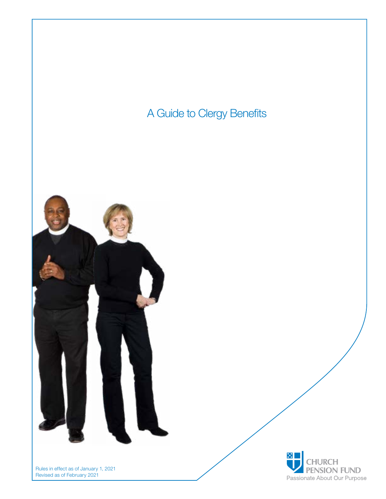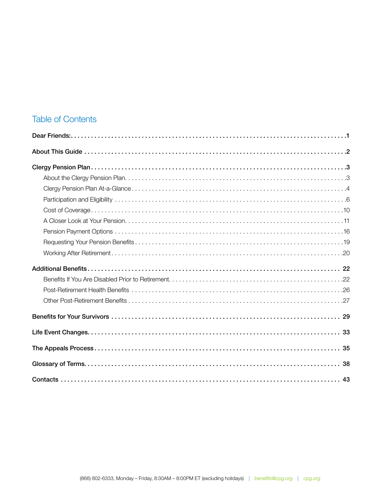### **Table of Contents**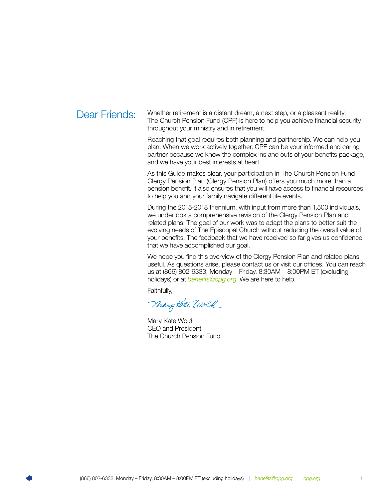<span id="page-2-0"></span>Dear Friends: Whether retirement is a distant dream, a next step, or a pleasant reality, The Church Pension Fund (CPF) is here to help you achieve financial security throughout your ministry and in retirement.

> Reaching that goal requires both planning and partnership. We can help you plan. When we work actively together, CPF can be your informed and caring partner because we know the complex ins and outs of your benefits package, and we have your best interests at heart.

> As this Guide makes clear, your participation in The Church Pension Fund Clergy Pension Plan (Clergy Pension Plan) offers you much more than a pension benefit. It also ensures that you will have access to financial resources to help you and your family navigate different life events.

> During the 2015-2018 triennium, with input from more than 1,500 individuals, we undertook a comprehensive revision of the Clergy Pension Plan and related plans. The goal of our work was to adapt the plans to better suit the evolving needs of The Episcopal Church without reducing the overall value of your benefits. The feedback that we have received so far gives us confidence that we have accomplished our goal.

We hope you find this overview of the Clergy Pension Plan and related plans useful. As questions arise, please contact us or visit our offices. You can reach us at (866) 802-6333, Monday – Friday, 8:30AM – 8:00PM ET (excluding holidays) or at *[benefits@cpg.org](mailto:benefits%40cpg.org?subject=)*. We are here to help.

Faithfully,

Mary Kate Wold

Mary Kate Wold CEO and President The Church Pension Fund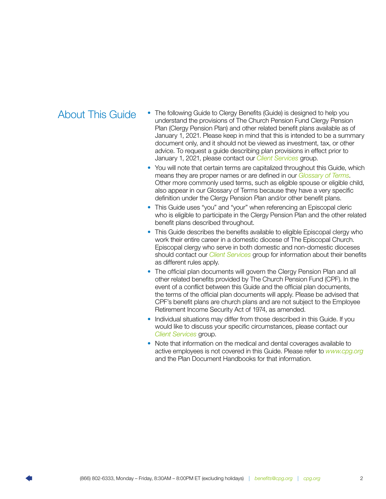- <span id="page-3-0"></span>About This Guide • The following Guide to Clergy Benefits (Guide) is designed to help you understand the provisions of The Church Pension Fund Clergy Pension Plan (Clergy Pension Plan) and other related benefit plans available as of January 1, 2021. Please keep in mind that this is intended to be a summary document only, and it should not be viewed as investment, tax, or other advice. To request a guide describing plan provisions in effect prior to January 1, 2021, please contact our *[Client Services](#page-44-0)* group.
	- You will note that certain terms are capitalized throughout this Guide, which means they are proper names or are defined in our *[Glossary of Terms](#page-39-0)*. Other more commonly used terms, such as eligible spouse or eligible child, also appear in our Glossary of Terms because they have a very specific definition under the Clergy Pension Plan and/or other benefit plans.
	- This Guide uses "you" and "your" when referencing an Episcopal cleric who is eligible to participate in the Clergy Pension Plan and the other related benefit plans described throughout.
	- This Guide describes the benefits available to eligible Episcopal clergy who work their entire career in a domestic diocese of The Episcopal Church. Episcopal clergy who serve in both domestic and non-domestic dioceses should contact our *[Client Services](#page-44-0)* group for information about their benefits as different rules apply.
	- The official plan documents will govern the Clergy Pension Plan and all other related benefits provided by The Church Pension Fund (CPF). In the event of a conflict between this Guide and the official plan documents, the terms of the official plan documents will apply. Please be advised that CPF's benefit plans are church plans and are not subject to the Employee Retirement Income Security Act of 1974, as amended.
	- Individual situations may differ from those described in this Guide. If you would like to discuss your specific circumstances, please contact our *[Client Services](#page-44-0)* group.
	- Note that information on the medical and dental coverages available to active employees is not covered in this Guide. Please refer to *[www.cpg.org](http://www.cpg.org)*  and the Plan Document Handbooks for that information.

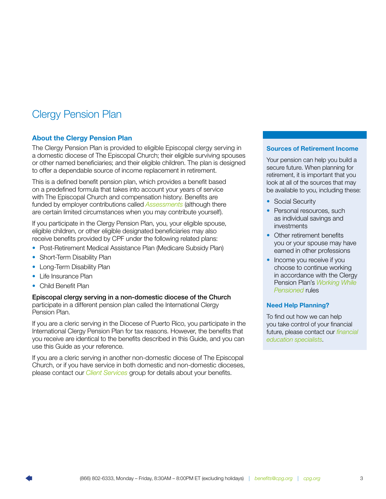# <span id="page-4-0"></span>Clergy Pension Plan

### About the Clergy Pension Plan

The Clergy Pension Plan is provided to eligible Episcopal clergy serving in a domestic diocese of The Episcopal Church; their eligible surviving spouses or other named beneficiaries; and their eligible children. The plan is designed to offer a dependable source of income replacement in retirement.

This is a defined benefit pension plan, which provides a benefit based on a predefined formula that takes into account your years of service with The Episcopal Church and compensation history. Benefits are funded by employer contributions called *[Assessments](#page-11-0)* (although there are certain limited circumstances when you may contribute yourself).

If you participate in the Clergy Pension Plan, you, your eligible spouse, eligible children, or other eligible designated beneficiaries may also receive benefits provided by CPF under the following related plans:

- Post-Retirement Medical Assistance Plan (Medicare Subsidy Plan)
- Short-Term Disability Plan
- Long-Term Disability Plan
- Life Insurance Plan
- Child Benefit Plan

Episcopal clergy serving in a non-domestic diocese of the Church participate in a different pension plan called the International Clergy Pension Plan.

If you are a cleric serving in the Diocese of Puerto Rico, you participate in the International Clergy Pension Plan for tax reasons. However, the benefits that you receive are identical to the benefits described in this Guide, and you can use this Guide as your reference.

If you are a cleric serving in another non-domestic diocese of The Episcopal Church, or if you have service in both domestic and non-domestic dioceses, please contact our *[Client Services](#page-44-0)* group for details about your benefits.

### Sources of Retirement Income

Your pension can help you build a secure future. When planning for retirement, it is important that you look at all of the sources that may be available to you, including these:

- Social Security
- Personal resources, such as individual savings and investments
- Other retirement benefits you or your spouse may have earned in other professions
- Income you receive if you choose to continue working in accordance with the Clergy Pension Plan's *[Working While](#page-23-0)  [Pensioned](#page-23-0)* rules

#### Need Help Planning?

To find out how we can help you take control of your financial future, please contact our *[financial](#page-44-0)  [education specialists](#page-44-0)*.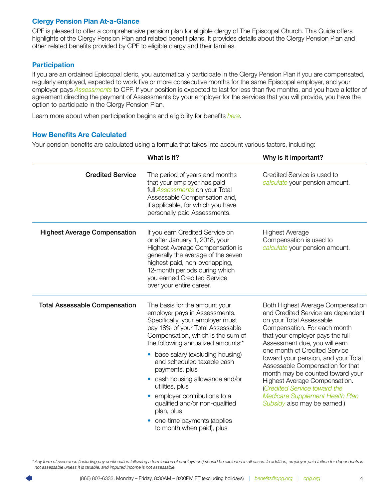### <span id="page-5-0"></span>Clergy Pension Plan At-a-Glance

CPF is pleased to offer a comprehensive pension plan for eligible clergy of The Episcopal Church. This Guide offers highlights of the Clergy Pension Plan and related benefit plans. It provides details about the Clergy Pension Plan and other related benefits provided by CPF to eligible clergy and their families.

### **Participation**

If you are an ordained Episcopal cleric, you automatically participate in the Clergy Pension Plan if you are compensated, regularly employed, expected to work five or more consecutive months for the same Episcopal employer, and your employer pays *[Assessments](#page-11-0)* to CPF. If your position is expected to last for less than five months, and you have a letter of agreement directing the payment of Assessments by your employer for the services that you will provide, you have the option to participate in the Clergy Pension Plan.

Learn more about when participation begins and eligibility for benefits *[here](#page-7-0)*.

### How Benefits Are Calculated

Your pension benefits are calculated using a formula that takes into account various factors, including:

|                                      | What is it?                                                                                                                                                                                                                                                                                  | Why is it important?                                                                                                                                                                                                                                                                    |  |  |  |
|--------------------------------------|----------------------------------------------------------------------------------------------------------------------------------------------------------------------------------------------------------------------------------------------------------------------------------------------|-----------------------------------------------------------------------------------------------------------------------------------------------------------------------------------------------------------------------------------------------------------------------------------------|--|--|--|
| <b>Credited Service</b>              | The period of years and months<br>that your employer has paid<br>full <b>Assessments</b> on your Total<br>Assessable Compensation and,<br>if applicable, for which you have<br>personally paid Assessments.                                                                                  | Credited Service is used to<br>calculate your pension amount.                                                                                                                                                                                                                           |  |  |  |
| <b>Highest Average Compensation</b>  | If you earn Credited Service on<br>or after January 1, 2018, your<br>Highest Average Compensation is<br>generally the average of the seven<br>highest-paid, non-overlapping,<br>12-month periods during which<br>you earned Credited Service<br>over your entire career.                     | <b>Highest Average</b><br>Compensation is used to<br>calculate your pension amount.                                                                                                                                                                                                     |  |  |  |
| <b>Total Assessable Compensation</b> | The basis for the amount your<br>employer pays in Assessments.<br>Specifically, your employer must<br>pay 18% of your Total Assessable<br>Compensation, which is the sum of<br>the following annualized amounts.*                                                                            | <b>Both Highest Average Compensation</b><br>and Credited Service are dependent<br>on your Total Assessable<br>Compensation. For each month<br>that your employer pays the full<br>Assessment due, you will earn                                                                         |  |  |  |
|                                      | base salary (excluding housing)<br>$\bullet$<br>and scheduled taxable cash<br>payments, plus<br>• cash housing allowance and/or<br>utilities, plus<br>employer contributions to a<br>qualified and/or non-qualified<br>plan, plus<br>one-time payments (applies<br>to month when paid), plus | one month of Credited Service<br>toward your pension, and your Total<br>Assessable Compensation for that<br>month may be counted toward your<br>Highest Average Compensation.<br>(Credited Service toward the<br><b>Medicare Supplement Health Plan</b><br>Subsidy also may be earned.) |  |  |  |

*\* Any form of severance (including pay continuation following a termination of employment) should be excluded in all cases. In addition, employer-paid tuition for dependents is not assessable unless it is taxable, and imputed income is not assessable.*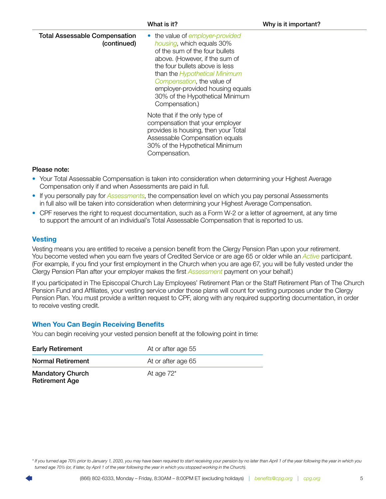<span id="page-6-0"></span>

|                                                     | What is it?                                                                                                                                                                                                                                                                                                                        | Why is it important? |
|-----------------------------------------------------|------------------------------------------------------------------------------------------------------------------------------------------------------------------------------------------------------------------------------------------------------------------------------------------------------------------------------------|----------------------|
| <b>Total Assessable Compensation</b><br>(continued) | • the value of employer-provided<br>housing, which equals 30%<br>of the sum of the four bullets<br>above. (However, if the sum of<br>the four bullets above is less<br>than the <i>Hypothetical Minimum</i><br>Compensation, the value of<br>employer-provided housing equals<br>30% of the Hypothetical Minimum<br>Compensation.) |                      |
|                                                     | Note that if the only type of<br>compensation that your employer<br>provides is housing, then your Total<br>Assessable Compensation equals<br>30% of the Hypothetical Minimum<br>Compensation.                                                                                                                                     |                      |

### Please note:

- Your Total Assessable Compensation is taken into consideration when determining your Highest Average Compensation only if and when Assessments are paid in full.
- If you personally pay for *[Assessments](#page-12-0)*, the compensation level on which you pay personal Assessments in full also will be taken into consideration when determining your Highest Average Compensation.
- CPF reserves the right to request documentation, such as a Form W-2 or a letter of agreement, at any time to support the amount of an individual's Total Assessable Compensation that is reported to us.

### **Vesting**

Vesting means you are entitled to receive a pension benefit from the Clergy Pension Plan upon your retirement. You become vested when you earn five years of Credited Service or are age 65 or older while an *[Active](#page-9-0)* participant. (For example, if you find your first employment in the Church when you are age 67, you will be fully vested under the Clergy Pension Plan after your employer makes the first *[Assessment](#page-11-0)* payment on your behalf.)

If you participated in The Episcopal Church Lay Employees' Retirement Plan or the Staff Retirement Plan of The Church Pension Fund and Affiliates, your vesting service under those plans will count for vesting purposes under the Clergy Pension Plan. You must provide a written request to CPF, along with any required supporting documentation, in order to receive vesting credit.

### When You Can Begin Receiving Benefits

You can begin receiving your vested pension benefit at the following point in time:

| <b>Early Retirement</b>                          | At or after age 55 |
|--------------------------------------------------|--------------------|
| <b>Normal Retirement</b>                         | At or after age 65 |
| <b>Mandatory Church</b><br><b>Retirement Age</b> | At age $72^*$      |

*\* If you turned age 70½ prior to January 1, 2020, you may have been required to start receiving your pension by no later than April 1 of the year following the year in which you turned age 70½ (or, if later, by April 1 of the year following the year in which you stopped working in the Church).*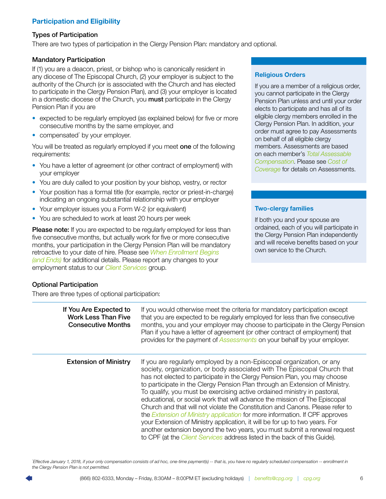### <span id="page-7-0"></span>Participation and Eligibility

### Types of Participation

There are two types of participation in the Clergy Pension Plan: mandatory and optional.

### Mandatory Participation

If (1) you are a deacon, priest, or bishop who is canonically resident in any diocese of The Episcopal Church, (2) your employer is subject to the authority of the Church (or is associated with the Church and has elected to participate in the Clergy Pension Plan), and (3) your employer is located in a domestic diocese of the Church, you **must** participate in the Clergy Pension Plan if you are

- expected to be regularly employed (as explained below) for five or more consecutive months by the same employer, and
- compensated\* by your employer.

You will be treated as regularly employed if you meet one of the following requirements:

- You have a letter of agreement (or other contract of employment) with your employer
- You are duly called to your position by your bishop, vestry, or rector
- Your position has a formal title (for example, rector or priest-in-charge) indicating an ongoing substantial relationship with your employer
- Your employer issues you a Form W-2 (or equivalent)
- You are scheduled to work at least 20 hours per week

**Please note:** If you are expected to be regularly employed for less than five consecutive months, but actually work for five or more consecutive months, your participation in the Clergy Pension Plan will be mandatory retroactive to your date of hire. Please see *[When Enrollment Begins](#page-8-0)  [\(and Ends\)](#page-8-0)* for additional details. Please report any changes to your employment status to our *[Client Services](#page-44-0)* group.

### Optional Participation

There are three types of optional participation:

### Religious Orders

If you are a member of a religious order, you cannot participate in the Clergy Pension Plan unless and until your order elects to participate and has all of its eligible clergy members enrolled in the Clergy Pension Plan. In addition, your order must agree to pay Assessments on behalf of all eligible clergy members. Assessments are based on each member's *[Total Assessable](#page-43-0)  [Compensation](#page-43-0)*. Please see *[Cost of](#page-11-0)  [Coverage](#page-11-0)* for details on Assessments.

### Two-clergy families

If both you and your spouse are ordained, each of you will participate in the Clergy Pension Plan independently and will receive benefits based on your own service to the Church.

| If You Are Expected to<br><b>Work Less Than Five</b><br><b>Consecutive Months</b> | If you would otherwise meet the criteria for mandatory participation except<br>that you are expected to be regularly employed for less than five consecutive<br>months, you and your employer may choose to participate in the Clergy Pension<br>Plan if you have a letter of agreement (or other contract of employment) that<br>provides for the payment of Assessments on your behalf by your employer.                                                                                                                                                                                                                                                                                                                                                                                                                                                                                     |
|-----------------------------------------------------------------------------------|------------------------------------------------------------------------------------------------------------------------------------------------------------------------------------------------------------------------------------------------------------------------------------------------------------------------------------------------------------------------------------------------------------------------------------------------------------------------------------------------------------------------------------------------------------------------------------------------------------------------------------------------------------------------------------------------------------------------------------------------------------------------------------------------------------------------------------------------------------------------------------------------|
| <b>Extension of Ministry</b>                                                      | If you are regularly employed by a non-Episcopal organization, or any<br>society, organization, or body associated with The Episcopal Church that<br>has not elected to participate in the Clergy Pension Plan, you may choose<br>to participate in the Clergy Pension Plan through an Extension of Ministry.<br>To qualify, you must be exercising active ordained ministry in pastoral,<br>educational, or social work that will advance the mission of The Episcopal<br>Church and that will not violate the Constitution and Canons. Please refer to<br>the <i>Extension of Ministry application</i> for more information. If CPF approves<br>your Extension of Ministry application, it will be for up to two years. For<br>another extension beyond the two years, you must submit a renewal request<br>to CPF (at the <i>Client Services</i> address listed in the back of this Guide). |

*\* Effective January 1, 2018, if your only compensation consists of ad hoc, one-time payment(s) -- that is, you have no regularly scheduled compensation -- enrollment in the Clergy Pension Plan is not permitted.*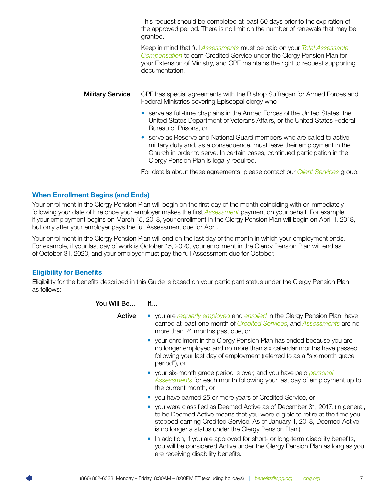<span id="page-8-0"></span>

|                         | This request should be completed at least 60 days prior to the expiration of<br>the approved period. There is no limit on the number of renewals that may be<br>granted.                                                                                                  |  |  |  |  |
|-------------------------|---------------------------------------------------------------------------------------------------------------------------------------------------------------------------------------------------------------------------------------------------------------------------|--|--|--|--|
|                         | Keep in mind that full Assessments must be paid on your Total Assessable<br>Compensation to earn Credited Service under the Clergy Pension Plan for<br>your Extension of Ministry, and CPF maintains the right to request supporting<br>documentation.                    |  |  |  |  |
| <b>Military Service</b> | CPF has special agreements with the Bishop Suffragan for Armed Forces and<br>Federal Ministries covering Episcopal clergy who                                                                                                                                             |  |  |  |  |
|                         | • serve as full-time chaplains in the Armed Forces of the United States, the<br>United States Department of Veterans Affairs, or the United States Federal<br>Bureau of Prisons, or                                                                                       |  |  |  |  |
|                         | serve as Reserve and National Guard members who are called to active<br>military duty and, as a consequence, must leave their employment in the<br>Church in order to serve. In certain cases, continued participation in the<br>Clergy Pension Plan is legally required. |  |  |  |  |
|                         | For details about these agreements, please contact our <i>Client Services</i> group.                                                                                                                                                                                      |  |  |  |  |

### When Enrollment Begins (and Ends)

Your enrollment in the Clergy Pension Plan will begin on the first day of the month coinciding with or immediately following your date of hire once your employer makes the first *[Assessment](#page-39-0)* payment on your behalf. For example, if your employment begins on March 15, 2018, your enrollment in the Clergy Pension Plan will begin on April 1, 2018, but only after your employer pays the full Assessment due for April.

Your enrollment in the Clergy Pension Plan will end on the last day of the month in which your employment ends. For example, if your last day of work is October 15, 2020, your enrollment in the Clergy Pension Plan will end as of October 31, 2020, and your employer must pay the full Assessment due for October.

### Eligibility for Benefits

Eligibility for the benefits described in this Guide is based on your participant status under the Clergy Pension Plan as follows:

| You Will Be | If                                                                                                                                                                                                                                                                                          |
|-------------|---------------------------------------------------------------------------------------------------------------------------------------------------------------------------------------------------------------------------------------------------------------------------------------------|
| Active      | • you are regularly employed and enrolled in the Clergy Pension Plan, have<br>earned at least one month of <i>Credited Services</i> , and <i>Assessments</i> are no<br>more than 24 months past due, or                                                                                     |
|             | • your enrollment in the Clergy Pension Plan has ended because you are<br>no longer employed and no more than six calendar months have passed<br>following your last day of employment (referred to as a "six-month grace<br>period"), or                                                   |
|             | • your six-month grace period is over, and you have paid <i>personal</i><br>Assessments for each month following your last day of employment up to<br>the current month, or                                                                                                                 |
|             | • you have earned 25 or more years of Credited Service, or                                                                                                                                                                                                                                  |
|             | you were classified as Deemed Active as of December 31, 2017. (In general,<br>to be Deemed Active means that you were eligible to retire at the time you<br>stopped earning Credited Service. As of January 1, 2018, Deemed Active<br>is no longer a status under the Clergy Pension Plan.) |
|             | In addition, if you are approved for short- or long-term disability benefits,<br>you will be considered Active under the Clergy Pension Plan as long as you<br>are receiving disability benefits.                                                                                           |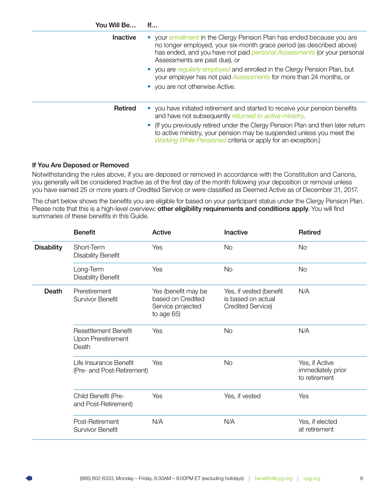<span id="page-9-0"></span>

| You Will Be     | If                                                                                                                                                                                                                                                              |
|-----------------|-----------------------------------------------------------------------------------------------------------------------------------------------------------------------------------------------------------------------------------------------------------------|
| <b>Inactive</b> | your <i>enrollment</i> in the Clergy Pension Plan has ended because you are<br>no longer employed, your six-month grace period (as described above)<br>has ended, and you have not paid personal Assessments (or your personal<br>Assessments are past due), or |
|                 | you are regularly employed and enrolled in the Clergy Pension Plan, but<br>your employer has not paid <b>Assessments</b> for more than 24 months, or<br>• you are not otherwise Active.                                                                         |
|                 |                                                                                                                                                                                                                                                                 |
| Retired         | • you have initiated retirement and started to receive your pension benefits<br>and have not subsequently returned to active ministry.                                                                                                                          |
|                 | (If you previously retired under the Clergy Pension Plan and then later return<br>to active ministry, your pension may be suspended unless you meet the<br>Working While Pensioned criteria or apply for an exception.)                                         |

### If You Are Deposed or Removed

Notwithstanding the rules above, if you are deposed or removed in accordance with the Constitution and Canons, you generally will be considered Inactive as of the first day of the month following your deposition or removal unless you have earned 25 or more years of Credited Service or were classified as Deemed Active as of December 31, 2017.

The chart below shows the benefits you are eligible for based on your participant status under the Clergy Pension Plan. Please note that this is a high-level overview; other eligibility requirements and conditions apply. You will find summaries of these benefits in this Guide.

|                   | <b>Benefit</b>                                             | Active                                                                      | Inactive                                                           | <b>Retired</b>                                       |
|-------------------|------------------------------------------------------------|-----------------------------------------------------------------------------|--------------------------------------------------------------------|------------------------------------------------------|
| <b>Disability</b> | Short-Term<br><b>Disability Benefit</b>                    | Yes                                                                         | No                                                                 | No                                                   |
|                   | Long-Term<br><b>Disability Benefit</b>                     | Yes                                                                         | <b>No</b>                                                          | <b>No</b>                                            |
| Death             | Preretirement<br><b>Survivor Benefit</b>                   | Yes (benefit may be<br>based on Credited<br>Service projected<br>to age 65) | Yes, if vested (benefit<br>is based on actual<br>Credited Service) | N/A                                                  |
|                   | <b>Resettlement Benefit</b><br>Upon Preretirement<br>Death | Yes                                                                         | <b>No</b>                                                          | N/A                                                  |
|                   | Life Insurance Benefit<br>(Pre- and Post-Retirement)       | Yes                                                                         | <b>No</b>                                                          | Yes, if Active<br>immediately prior<br>to retirement |
|                   | Child Benefit (Pre-<br>and Post-Retirement)                | Yes                                                                         | Yes, if vested                                                     | Yes                                                  |
|                   | Post-Retirement<br><b>Survivor Benefit</b>                 | N/A                                                                         | N/A                                                                | Yes, if elected<br>at retirement                     |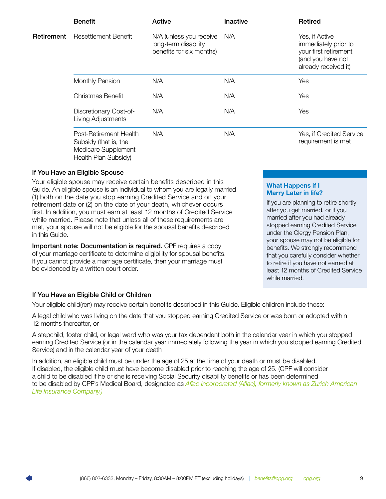<span id="page-10-0"></span>

|            | <b>Benefit</b>                                                                                 | Active                                                                      | Inactive | Retired                                                                                                      |
|------------|------------------------------------------------------------------------------------------------|-----------------------------------------------------------------------------|----------|--------------------------------------------------------------------------------------------------------------|
| Retirement | <b>Resettlement Benefit</b>                                                                    | N/A (unless you receive<br>long-term disability<br>benefits for six months) | N/A      | Yes, if Active<br>immediately prior to<br>your first retirement<br>(and you have not<br>already received it) |
|            | <b>Monthly Pension</b>                                                                         | N/A                                                                         | N/A      | Yes                                                                                                          |
|            | Christmas Benefit                                                                              | N/A                                                                         | N/A      | Yes                                                                                                          |
|            | Discretionary Cost-of-<br>Living Adjustments                                                   | N/A                                                                         | N/A      | Yes                                                                                                          |
|            | Post-Retirement Health<br>Subsidy (that is, the<br>Medicare Supplement<br>Health Plan Subsidy) | N/A                                                                         | N/A      | Yes, if Credited Service<br>requirement is met                                                               |

### If You Have an Eligible Spouse

Your eligible spouse may receive certain benefits described in this Guide. An eligible spouse is an individual to whom you are legally married (1) both on the date you stop earning Credited Service and on your retirement date or (2) on the date of your death, whichever occurs first. In addition, you must earn at least 12 months of Credited Service while married. Please note that unless all of these requirements are met, your spouse will not be eligible for the spousal benefits described in this Guide.

Important note: Documentation is required. CPF requires a copy of your marriage certificate to determine eligibility for spousal benefits. If you cannot provide a marriage certificate, then your marriage must be evidenced by a written court order.

### What Happens if I Marry Later in life?

If you are planning to retire shortly after you get married, or if you married after you had already stopped earning Credited Service under the Clergy Pension Plan, your spouse may not be eligible for benefits. We strongly recommend that you carefully consider whether to retire if you have not earned at least 12 months of Credited Service while married.

### If You Have an Eligible Child or Children

Your eligible child(ren) may receive certain benefits described in this Guide. Eligible children include these:

A legal child who was living on the date that you stopped earning Credited Service or was born or adopted within 12 months thereafter, or

A stepchild, foster child, or legal ward who was your tax dependent both in the calendar year in which you stopped earning Credited Service (or in the calendar year immediately following the year in which you stopped earning Credited Service) and in the calendar year of your death

In addition, an eligible child must be under the age of 25 at the time of your death or must be disabled. If disabled, the eligible child must have become disabled prior to reaching the age of 25. (CPF will consider a child to be disabled if he or she is receiving Social Security disability benefits or has been determined to be disabled by CPF's Medical Board, designated as *[Aflac Incorporated \(Aflac\), formerly known as Zurich American](#page-39-1)  [Life Insurance Company.\)](#page-39-1)*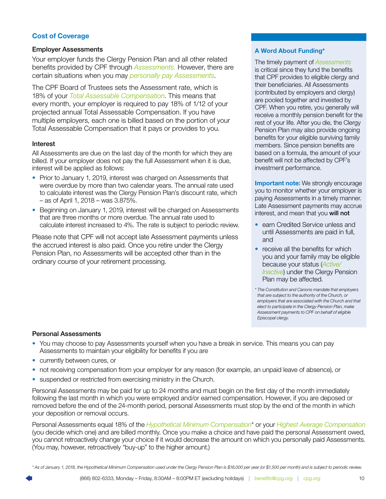### <span id="page-11-0"></span>Cost of Coverage

### Employer Assessments

Your employer funds the Clergy Pension Plan and all other related benefits provided by CPF through *[Assessments.](#page-39-0)* However, there are certain situations when you may *[personally pay Assessments](#page-12-0)*.

The CPF Board of Trustees sets the Assessment rate, which is 18% of your *[Total Assessable Compensation](#page-43-0)*. This means that every month, your employer is required to pay 18% of 1/12 of your projected annual Total Assessable Compensation. If you have multiple employers, each one is billed based on the portion of your Total Assessable Compensation that it pays or provides to you.

### Interest

All Assessments are due on the last day of the month for which they are billed. If your employer does not pay the full Assessment when it is due, interest will be applied as follows:

- Prior to January 1, 2019, interest was charged on Assessments that were overdue by more than two calendar years. The annual rate used to calculate interest was the Clergy Pension Plan's discount rate, which – as of April 1, 2018 – was 3.875%.
- Beginning on January 1, 2019, interest will be charged on Assessments that are three months or more overdue. The annual rate used to calculate interest increased to 4%. The rate is subject to periodic review.

Please note that CPF will not accept late Assessment payments unless the accrued interest is also paid. Once you retire under the Clergy Pension Plan, no Assessments will be accepted other than in the ordinary course of your retirement processing.

### A Word About Funding\*

The timely payment of *[Assessments](#page-39-0)* is critical since they fund the benefits that CPF provides to eligible clergy and their beneficiaries. All Assessments (contributed by employers and clergy) are pooled together and invested by CPF. When you retire, you generally will receive a monthly pension benefit for the rest of your life. After you die, the Clergy Pension Plan may also provide ongoing benefits for your eligible surviving family members. Since pension benefits are based on a formula, the amount of your benefit will not be affected by CPF's investment performance.

**Important note:** We strongly encourage you to monitor whether your employer is paying Assessments in a timely manner. Late Assessment payments may accrue interest, and mean that you will not

- earn Credited Service unless and until Assessments are paid in full, and
- receive all the benefits for which you and your family may be eligible because your status (*[Active/](#page-9-0) [Inactive](#page-9-0)*) under the Clergy Pension Plan may be affected.

*\* The Constitution and Canons mandate that employers that are subject to the authority of the Church, or employers that are associated with the Church and that elect to participate in the Clergy Pension Plan, make Assessment payments to CPF on behalf of eligible Episcopal clergy.*

### Personal Assessments

- You may choose to pay Assessments yourself when you have a break in service. This means you can pay Assessments to maintain your eligibility for benefits if you are
- currently between cures, or
- not receiving compensation from your employer for any reason (for example, an unpaid leave of absence), or
- suspended or restricted from exercising ministry in the Church.

Personal Assessments may be paid for up to 24 months and must begin on the first day of the month immediately following the last month in which you were employed and/or earned compensation. However, if you are deposed or removed before the end of the 24-month period, personal Assessments must stop by the end of the month in which your deposition or removal occurs.

Personal Assessments equal 18% of the *[Hypothetical Minimum Compensation](#page-41-0)*\* or your *[Highest Average Compensation](#page-13-0)* (you decide which one) and are billed monthly. Once you make a choice and have paid the personal Assessment owed, you cannot retroactively change your choice if it would decrease the amount on which you personally paid Assessments. (You may, however, retroactively "buy-up" to the higher amount.)

*\* As of January 1, 2018, the Hypothetical Minimum Compensation used under the Clergy Pension Plan is \$18,000 per year (or \$1,500 per month) and is subject to periodic review.*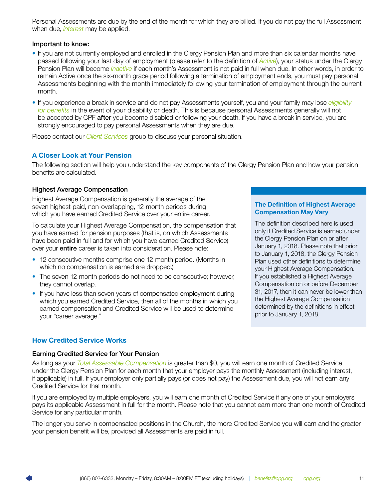<span id="page-12-0"></span>Personal Assessments are due by the end of the month for which they are billed. If you do not pay the full Assessment when due, *interest* may be applied.

### Important to know:

- If you are not currently employed and enrolled in the Clergy Pension Plan and more than six calendar months have passed following your last day of employment (please refer to the definition of *[Active](#page-39-0)*), your status under the Clergy Pension Plan will become *[Inactive](#page-42-0)* if each month's Assessment is not paid in full when due. In other words, in order to remain Active once the six-month grace period following a termination of employment ends, you must pay personal Assessments beginning with the month immediately following your termination of employment through the current month.
- If you experience a break in service and do not pay Assessments yourself, you and your family may lose *[eligibility](#page-10-0)  [for benefits](#page-10-0)* in the event of your disability or death. This is because personal Assessments generally will not be accepted by CPF **after** you become disabled or following your death. If you have a break in service, you are strongly encouraged to pay personal Assessments when they are due.

Please contact our *[Client Services](#page-44-0)* group to discuss your personal situation.

### A Closer Look at Your Pension

The following section will help you understand the key components of the Clergy Pension Plan and how your pension benefits are calculated.

### Highest Average Compensation

Highest Average Compensation is generally the average of the seven highest-paid, non-overlapping, 12-month periods during which you have earned Credited Service over your entire career.

To calculate your Highest Average Compensation, the compensation that you have earned for pension purposes (that is, on which Assessments have been paid in full and for which you have earned Credited Service) over your **entire** career is taken into consideration. Please note:

- 12 consecutive months comprise one 12-month period. (Months in which no compensation is earned are dropped.)
- The seven 12-month periods do not need to be consecutive; however, they cannot overlap.
- If you have less than seven years of compensated employment during which you earned Credited Service, then all of the months in which you earned compensation and Credited Service will be used to determine your "career average."

### The Definition of Highest Average Compensation May Vary

The definition described here is used only if Credited Service is earned under the Clergy Pension Plan on or after January 1, 2018. Please note that prior to January 1, 2018, the Clergy Pension Plan used other definitions to determine your Highest Average Compensation. If you established a Highest Average Compensation on or before December 31, 2017, then it can never be lower than the Highest Average Compensation determined by the definitions in effect prior to January 1, 2018.

### How Credited Service Works

### Earning Credited Service for Your Pension

As long as your *[Total Assessable Compensation](#page-43-0)* is greater than \$0, you will earn one month of Credited Service under the Clergy Pension Plan for each month that your employer pays the monthly Assessment (including interest, if applicable) in full. If your employer only partially pays (or does not pay) the Assessment due, you will not earn any Credited Service for that month.

If you are employed by multiple employers, you will earn one month of Credited Service if any one of your employers pays its applicable Assessment in full for the month. Please note that you cannot earn more than one month of Credited Service for any particular month.

The longer you serve in compensated positions in the Church, the more Credited Service you will earn and the greater your pension benefit will be, provided all Assessments are paid in full.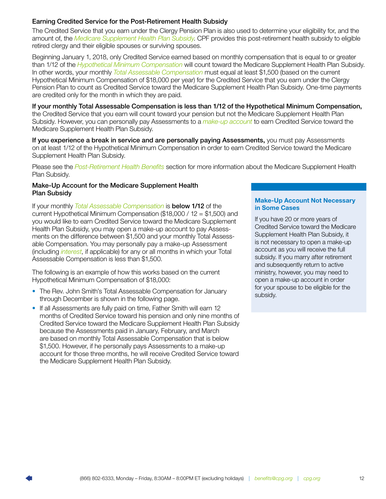### <span id="page-13-0"></span>Earning Credited Service for the Post-Retirement Health Subsidy

The Credited Service that you earn under the Clergy Pension Plan is also used to determine your eligibility for, and the amount of, the *[Medicare Supplement Health Plan Subsidy](#page-27-0)*. CPF provides this post-retirement health subsidy to eligible retired clergy and their eligible spouses or surviving spouses.

Beginning January 1, 2018, only Credited Service earned based on monthly compensation that is equal to or greater than 1/12 of the *[Hypothetical Minimum Compensation](#page-41-0)* will count toward the Medicare Supplement Health Plan Subsidy. In other words, your monthly *[Total Assessable Compensation](#page-43-0)* must equal at least \$1,500 (based on the current Hypothetical Minimum Compensation of \$18,000 per year) for the Credited Service that you earn under the Clergy Pension Plan to count as Credited Service toward the Medicare Supplement Health Plan Subsidy. One-time payments are credited only for the month in which they are paid.

If your monthly Total Assessable Compensation is less than 1/12 of the Hypothetical Minimum Compensation, the Credited Service that you earn will count toward your pension but not the Medicare Supplement Health Plan Subsidy. However, you can personally pay Assessments to a *[make-up account](#page-14-1)* to earn Credited Service toward the Medicare Supplement Health Plan Subsidy.

If you experience a break in service and are personally paying Assessments, you must pay Assessments on at least 1/12 of the Hypothetical Minimum Compensation in order to earn Credited Service toward the Medicare Supplement Health Plan Subsidy.

Please see the *[Post-Retirement Health Benefits](#page-27-0)* section for more information about the Medicare Supplement Health Plan Subsidy.

### Make-Up Account for the Medicare Supplement Health Plan Subsidy

If your monthly *[Total Assessable Compensation](#page-43-0)* is below 1/12 of the current Hypothetical Minimum Compensation (\$18,000 / 12 = \$1,500) and you would like to earn Credited Service toward the Medicare Supplement Health Plan Subsidy, you may open a make-up account to pay Assessments on the difference between \$1,500 and your monthly Total Assessable Compensation. You may personally pay a make-up Assessment (including *[interest](#page-12-0)*, if applicable) for any or all months in which your Total Assessable Compensation is less than \$1,500.

The following is an example of how this works based on the current Hypothetical Minimum Compensation of \$18,000:

- The Rev. John Smith's Total Assessable Compensation for January through December is shown in the following page.
- If all Assessments are fully paid on time, Father Smith will earn 12 months of Credited Service toward his pension and only nine months of Credited Service toward the Medicare Supplement Health Plan Subsidy because the Assessments paid in January, February, and March are based on monthly Total Assessable Compensation that is below \$1,500. However, if he personally pays Assessments to a make-up account for those three months, he will receive Credited Service toward the Medicare Supplement Health Plan Subsidy.

### Make-Up Account Not Necessary in Some Cases

If you have 20 or more years of Credited Service toward the Medicare Supplement Health Plan Subsidy, it is not necessary to open a make-up account as you will receive the full subsidy. If you marry after retirement and subsequently return to active ministry, however, you may need to open a make-up account in order for your spouse to be eligible for the subsidy.

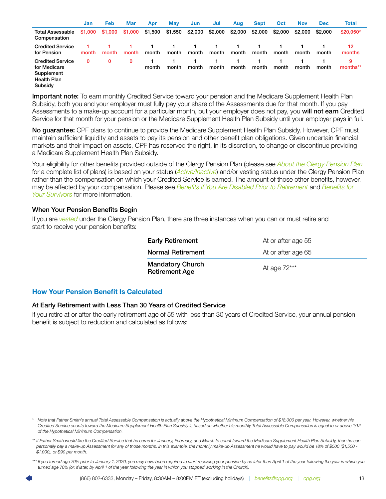<span id="page-14-1"></span>

|                                                                                        | Jan      | <b>Feb</b> | <b>Mar</b> | Apr     | <b>May</b> | Jun     | Jul     | Aug     | <b>Sept</b> | <b>Oct</b> | <b>Nov</b> | <b>Dec</b> | <b>Total</b>  |
|----------------------------------------------------------------------------------------|----------|------------|------------|---------|------------|---------|---------|---------|-------------|------------|------------|------------|---------------|
| Total Assessable<br>Compensation                                                       | \$1,000  | \$1,000    | \$1,000    | \$1,500 | \$1,550    | \$2,000 | \$2,000 | \$2,000 | \$2,000     | \$2,000    | \$2,000    | \$2,000    | \$20,050*     |
| <b>Credited Service</b><br>for Pension                                                 | month    | month      | month      | month   | month      | month   | month   | month   | month       | month      | month      | month      | 12<br>months  |
| <b>Credited Service</b><br>for Medicare<br>Supplement<br><b>Health Plan</b><br>Subsidy | $\bf{0}$ | 0          | 0          | month   | month      | month   | month   | month   | month       | month      | month      | month      | 9<br>months** |

Important note: To earn monthly Credited Service toward your pension and the Medicare Supplement Health Plan Subsidy, both you and your employer must fully pay your share of the Assessments due for that month. If you pay Assessments to a make-up account for a particular month, but your employer does not pay, you will not earn Credited Service for that month for your pension or the Medicare Supplement Health Plan Subsidy until your employer pays in full.

No guarantee: CPF plans to continue to provide the Medicare Supplement Health Plan Subsidy. However, CPF must maintain sufficient liquidity and assets to pay its pension and other benefit plan obligations. Given uncertain financial markets and their impact on assets, CPF has reserved the right, in its discretion, to change or discontinue providing a Medicare Supplement Health Plan Subsidy.

Your eligibility for other benefits provided outside of the Clergy Pension Plan (please see *[About the Clergy Pension Plan](#page-4-0)* for a complete list of plans) is based on your status (*[Active/Inactive](#page-9-0)*) and/or vesting status under the Clergy Pension Plan rather than the compensation on which your Credited Service is earned. The amount of those other benefits, however, may be affected by your compensation. Please see *Benefits if You Are Disabled Prior to Retirement* and *[Benefits for](#page-31-0)  [Your Survivors](#page-31-0)* for more information.

### When Your Pension Benefits Begin

If you are *[vested](#page-6-0)* under the Clergy Pension Plan, there are three instances when you can or must retire and start to receive your pension benefits:

| <b>Early Retirement</b>                          | At or after age 55 |
|--------------------------------------------------|--------------------|
| Normal Retirement                                | At or after age 65 |
| <b>Mandatory Church</b><br><b>Retirement Age</b> | At age 72***       |

### <span id="page-14-0"></span>How Your Pension Benefit Is Calculated

### At Early Retirement with Less Than 30 Years of Credited Service

If you retire at or after the early retirement age of 55 with less than 30 years of Credited Service, your annual pension benefit is subject to reduction and calculated as follows:

*<sup>\*</sup> Note that Father Smith's annual Total Assessable Compensation is actually above the Hypothetical Minimum Compensation of \$18,000 per year. However, whether his Credited Service counts toward the Medicare Supplement Health Plan Subsidy is based on whether his monthly Total Assessable Compensation is equal to or above 1/12 of the Hypothetical Minimum Compensation.*

<sup>\*\*</sup> If Father Smith would like the Credited Service that he earns for January, February, and March to count toward the Medicare Supplement Health Plan Subsidy, then he can *personally pay a make-up Assessment for any of those months. In this example, the monthly make-up Assessment he would have to pay would be 18% of \$500 (\$1,500 - \$1,000), or \$90 per month.*

*<sup>\*\*\*</sup> If you turned age 70½ prior to January 1, 2020, you may have been required to start receiving your pension by no later than April 1 of the year following the year in which you turned age 70½ (or, if later, by April 1 of the year following the year in which you stopped working in the Church).*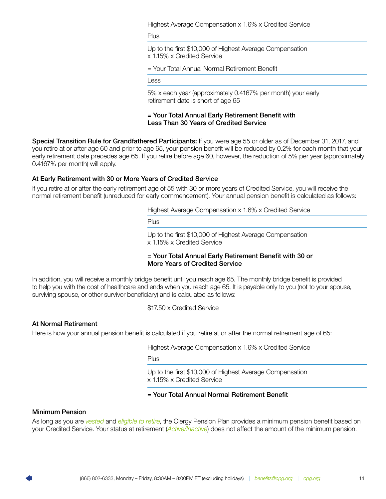Highest Average Compensation x 1.6% x Credited Service

Plus

Up to the first \$10,000 of Highest Average Compensation x 1.15% x Credited Service

= Your Total Annual Normal Retirement Benefit

Less

5% x each year (approximately 0.4167% per month) your early retirement date is short of age 65

= Your Total Annual Early Retirement Benefit with Less Than 30 Years of Credited Service

<span id="page-15-0"></span>Special Transition Rule for Grandfathered Participants: If you were age 55 or older as of December 31, 2017, and you retire at or after age 60 and prior to age 65, your pension benefit will be reduced by 0.2% for each month that your early retirement date precedes age 65. If you retire before age 60, however, the reduction of 5% per year (approximately 0.4167% per month) will apply.

### At Early Retirement with 30 or More Years of Credited Service

If you retire at or after the early retirement age of 55 with 30 or more years of Credited Service, you will receive the normal retirement benefit (unreduced for early commencement). Your annual pension benefit is calculated as follows:

Highest Average Compensation x 1.6% x Credited Service

Plus

Up to the first \$10,000 of Highest Average Compensation x 1.15% x Credited Service

= Your Total Annual Early Retirement Benefit with 30 or More Years of Credited Service

In addition, you will receive a monthly bridge benefit until you reach age 65. The monthly bridge benefit is provided to help you with the cost of healthcare and ends when you reach age 65. It is payable only to you (not to your spouse, surviving spouse, or other survivor beneficiary) and is calculated as follows:

\$17.50 x Credited Service

### At Normal Retirement

Here is how your annual pension benefit is calculated if you retire at or after the normal retirement age of 65:

Highest Average Compensation x 1.6% x Credited Service

Plus

Up to the first \$10,000 of Highest Average Compensation x 1.15% x Credited Service

### = Your Total Annual Normal Retirement Benefit

### Minimum Pension

As long as you are *[vested](#page-6-0)* and *[eligible to retire](#page-6-0)*, the Clergy Pension Plan provides a minimum pension benefit based on your Credited Service. Your status at retirement (*[Active/Inactive](#page-9-0)*) does not affect the amount of the minimum pension.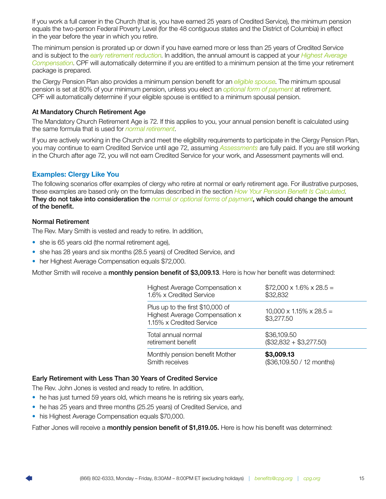<span id="page-16-0"></span>If you work a full career in the Church (that is, you have earned 25 years of Credited Service), the minimum pension equals the two-person Federal Poverty Level (for the 48 contiguous states and the District of Columbia) in effect in the year before the year in which you retire.

The minimum pension is prorated up or down if you have earned more or less than 25 years of Credited Service and is subject to the *[early retirement reduction](#page-18-0)*. In addition, the annual amount is capped at your *[Highest Average](#page-41-0)  [Compensation](#page-41-0)*. CPF will automatically determine if you are entitled to a minimum pension at the time your retirement package is prepared.

the Clergy Pension Plan also provides a minimum pension benefit for an *[eligible spouse](#page-41-0)*. The minimum spousal pension is set at 80% of your minimum pension, unless you elect an *[optional form of payment](#page-20-0)* at retirement. CPF will automatically determine if your eligible spouse is entitled to a minimum spousal pension.

### At Mandatory Church Retirement Age

The Mandatory Church Retirement Age is 72. If this applies to you, your annual pension benefit is calculated using the same formula that is used for *[normal retirement](#page-17-0)*.

If you are actively working in the Church and meet the eligibility requirements to participate in the Clergy Pension Plan, you may continue to earn Credited Service until age 72, assuming *[Assessments](#page-39-0)* are fully paid. If you are still working in the Church after age 72, you will not earn Credited Service for your work, and Assessment payments will end.

### Examples: Clergy Like You

The following scenarios offer examples of clergy who retire at normal or early retirement age. For illustrative purposes, these examples are based only on the formulas described in the section *[How Your Pension Benefit Is Calculated](#page-15-0)*. They do not take into consideration the *[normal or optional forms of payment](#page-19-0)*, which could change the amount of the benefit.

### Normal Retirement

The Rev. Mary Smith is vested and ready to retire. In addition,

- she is 65 years old (the normal retirement age),
- she has 28 years and six months (28.5 years) of Credited Service, and
- her Highest Average Compensation equals \$72,000.

Mother Smith will receive a **monthly pension benefit of \$3,009.13**. Here is how her benefit was determined:

| Highest Average Compensation x                                                                 | $$72,000 \times 1.6\% \times 28.5 =$               |
|------------------------------------------------------------------------------------------------|----------------------------------------------------|
| 1.6% x Credited Service                                                                        | \$32,832                                           |
| Plus up to the first \$10,000 of<br>Highest Average Compensation x<br>1.15% x Credited Service | $10,000 \times 1.15\% \times 28.5 =$<br>\$3,277.50 |
| Total annual normal                                                                            | \$36,109.50                                        |
| retirement benefit                                                                             | $(\$32,832 + \$3,277.50)$                          |
| Monthly pension benefit Mother                                                                 | \$3,009.13                                         |
| Smith receives                                                                                 | (\$36,109.50 / 12 months)                          |

### Early Retirement with Less Than 30 Years of Credited Service

The Rev. John Jones is vested and ready to retire. In addition,

- he has just turned 59 years old, which means he is retiring six years early,
- he has 25 years and three months (25.25 years) of Credited Service, and
- his Highest Average Compensation equals \$70,000.

Father Jones will receive a monthly pension benefit of \$1,819.05. Here is how his benefit was determined: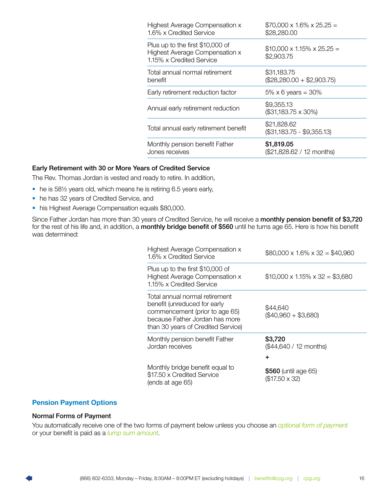<span id="page-17-0"></span>

| Highest Average Compensation x<br>1.6% x Credited Service                                      | $$70,000 \times 1.6\% \times 25.25 =$<br>\$28,280.00 |
|------------------------------------------------------------------------------------------------|------------------------------------------------------|
| Plus up to the first \$10,000 of<br>Highest Average Compensation x<br>1.15% x Credited Service | $$10,000 \times 1.15\% \times 25.25 =$<br>\$2,903.75 |
| Total annual normal retirement<br>benefit                                                      | \$31,183.75<br>$($28,280.00 + $2,903.75)$            |
| Early retirement reduction factor                                                              | $5\% \times 6$ years = 30%                           |
| Annual early retirement reduction                                                              | \$9,355.13<br>(\$31,183.75 x 30%)                    |
| Total annual early retirement benefit                                                          | \$21,828.62<br>(\$31,183.75 - \$9,355.13)            |
| Monthly pension benefit Father<br>Jones receives                                               | \$1,819.05<br>(\$21,828.62 / 12 months)              |

### Early Retirement with 30 or More Years of Credited Service

The Rev. Thomas Jordan is vested and ready to retire. In addition,

- he is 58½ years old, which means he is retiring 6.5 years early,
- he has 32 years of Credited Service, and
- his Highest Average Compensation equals \$80,000.

Since Father Jordan has more than 30 years of Credited Service, he will receive a monthly pension benefit of \$3,720 for the rest of his life and, in addition, a monthly bridge benefit of \$560 until he turns age 65. Here is how his benefit was determined:

| Highest Average Compensation x<br>1.6% x Credited Service                                                                                                                | $$80,000 \times 1.6\% \times 32 = $40,960$   |
|--------------------------------------------------------------------------------------------------------------------------------------------------------------------------|----------------------------------------------|
| Plus up to the first \$10,000 of<br>Highest Average Compensation x<br>1.15% x Credited Service                                                                           | $$10,000 \times 1.15\% \times 32 = $3,680$   |
| Total annual normal retirement<br>benefit (unreduced for early<br>commencement (prior to age 65)<br>because Father Jordan has more<br>than 30 years of Credited Service) | \$44,640<br>$(\$40,960 + \$3,680)$           |
| Monthly pension benefit Father<br>Jordan receives                                                                                                                        | \$3,720<br>(\$44,640 / 12 months)<br>٠       |
| Monthly bridge benefit equal to<br>\$17.50 x Credited Service<br>(ends at age 65)                                                                                        | \$560 (until age 65)<br>$($17.50 \times 32)$ |

### Pension Payment Options

### Normal Forms of Payment

You automatically receive one of the two forms of payment below unless you choose an *[optional form of payment](#page-20-0)* or your benefit is paid as a *[lump sum amount](#page-22-0)*.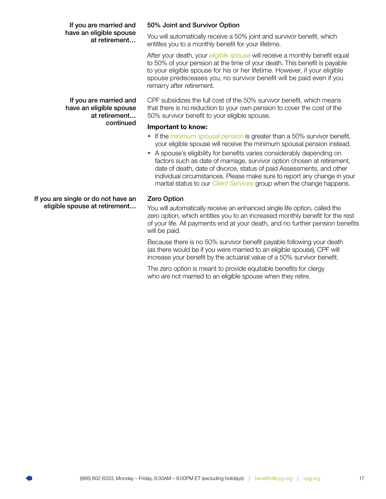### <span id="page-18-0"></span>If you are married and have an eligible spouse at retirement… continued

50% Joint and Survivor Option

You will automatically receive a 50% joint and survivor benefit, which entitles you to a monthly benefit for your lifetime.

After your death, your *[eligible spouse](#page-41-0)* will receive a monthly benefit equal to 50% of your pension at the time of your death. This benefit is payable to your eligible spouse for his or her lifetime. However, if your eligible spouse predeceases you, no survivor benefit will be paid even if you remarry after retirement.

CPF subsidizes the full cost of the 50% survivor benefit, which means that there is no reduction to your own pension to cover the cost of the 50% survivor benefit to your eligible spouse.

### Important to know:

- If the *[minimum spousal pension](#page-17-0)* is greater than a 50% survivor benefit, your eligible spouse will receive the minimum spousal pension instead.
- A spouse's eligibility for benefits varies considerably depending on factors such as date of marriage, survivor option chosen at retirement, date of death, date of divorce, status of paid Assessments, and other individual circumstances. Please make sure to report any change in your marital status to our *[Client Services](#page-44-0)* group when the change happens.

### Zero Option

You will automatically receive an enhanced single life option, called the zero option, which entitles you to an increased monthly benefit for the rest of your life. All payments end at your death, and no further pension benefits will be paid.

Because there is no 50% survivor benefit payable following your death (as there would be if you were married to an eligible spouse), CPF will increase your benefit by the actuarial value of a 50% survivor benefit.

The zero option is meant to provide equitable benefits for clergy who are not married to an eligible spouse when they retire.

If you are single or do not have an eligible spouse at retirement…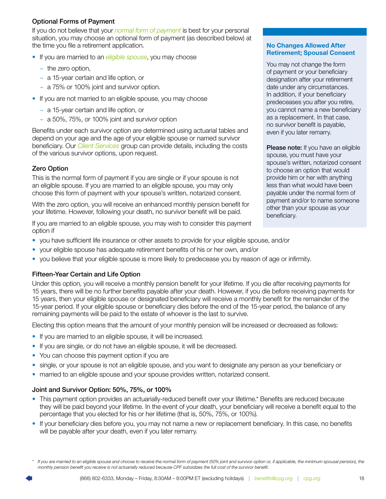### <span id="page-19-0"></span>Optional Forms of Payment

If you do not believe that your *[normal form of payment](#page-20-0)* is best for your personal situation, you may choose an optional form of payment (as described below) at the time you file a retirement application.

- If you are married to an *[eligible spouse](#page-41-0)*, you may choose
	- $\sim$  the zero option,
	- $\sim$  a 15-year certain and life option, or
	- $\sim$  a 75% or 100% joint and survivor option.
- If you are not married to an eligible spouse, you may choose
	- $\sim$  a 15-year certain and life option, or
	- $\sim$  a 50%, 75%, or 100% joint and survivor option

Benefits under each survivor option are determined using actuarial tables and depend on your age and the age of your eligible spouse or named survivor beneficiary. Our *[Client Services](#page-44-0)* group can provide details, including the costs of the various survivor options, upon request.

### Zero Option

This is the normal form of payment if you are single or if your spouse is not an eligible spouse. If you are married to an eligible spouse, you may only choose this form of payment with your spouse's written, notarized consent.

With the zero option, you will receive an enhanced monthly pension benefit for your lifetime. However, following your death, no survivor benefit will be paid.

If you are married to an eligible spouse, you may wish to consider this payment option if

- you have sufficient life insurance or other assets to provide for your eligible spouse, and/or
- your eligible spouse has adequate retirement benefits of his or her own, and/or
- you believe that your eligible spouse is more likely to predecease you by reason of age or infirmity.

### Fifteen-Year Certain and Life Option

Under this option, you will receive a monthly pension benefit for your lifetime. If you die after receiving payments for 15 years, there will be no further benefits payable after your death. However, if you die before receiving payments for 15 years, then your eligible spouse or designated beneficiary will receive a monthly benefit for the remainder of the 15-year period. If your eligible spouse or beneficiary dies before the end of the 15-year period, the balance of any remaining payments will be paid to the estate of whoever is the last to survive.

Electing this option means that the amount of your monthly pension will be increased or decreased as follows:

- If you are married to an eligible spouse, it will be increased.
- If you are single, or do not have an eligible spouse, it will be decreased.
- You can choose this payment option if you are
- single, or your spouse is not an eligible spouse, and you want to designate any person as your beneficiary or
- married to an eligible spouse and your spouse provides written, notarized consent.

### Joint and Survivor Option: 50%, 75%, or 100%

- This payment option provides an actuarially-reduced benefit over your lifetime.\* Benefits are reduced because they will be paid beyond your lifetime. In the event of your death, your beneficiary will receive a benefit equal to the percentage that you elected for his or her lifetime (that is, 50%, 75%, or 100%).
- If your beneficiary dies before you, you may not name a new or replacement beneficiary. In this case, no benefits will be payable after your death, even if you later remarry.

### No Changes Allowed After Retirement; Spousal Consent

You may not change the form of payment or your beneficiary designation after your retirement date under any circumstances. In addition, if your beneficiary predeceases you after you retire, you cannot name a new beneficiary as a replacement. In that case, no survivor benefit is payable, even if you later remarry.

Please note: If you have an eligible spouse, you must have your spouse's written, notarized consent to choose an option that would provide him or her with anything less than what would have been payable under the normal form of payment and/or to name someone other than your spouse as your beneficiary.

*<sup>\*</sup> If you are married to an eligible spouse and choose to receive the normal form of payment (50% joint and survivor option or, if applicable, the minimum spousal pension), the monthly pension benefit you receive is not actuarially reduced because CPF subsidizes the full cost of the survivor benefit.*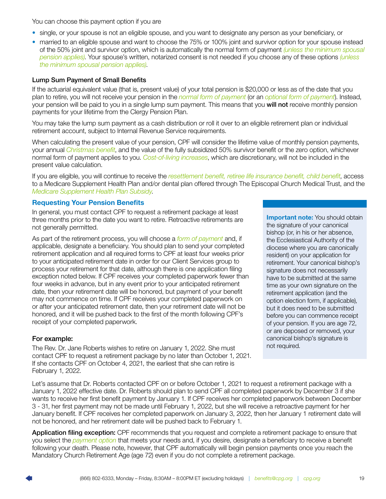<span id="page-20-0"></span>You can choose this payment option if you are

- single, or your spouse is not an eligible spouse, and you want to designate any person as your beneficiary, or
- married to an eligible spouse and want to choose the 75% or 100% joint and survivor option for your spouse instead of the 50% joint and survivor option, which is automatically the normal form of payment *[\(unless the minimum spousal](#page-16-0)  [pension applies\)](#page-16-0)*. Your spouse's written, notarized consent is not needed if you choose any of these options *[\(unless](#page-16-0)  [the minimum spousal pension applies\)](#page-16-0)*.

### Lump Sum Payment of Small Benefits

If the actuarial equivalent value (that is, present value) of your total pension is \$20,000 or less as of the date that you plan to retire, you will not receive your pension in the *[normal form of payment](#page-19-0)* (or an *optional form of payment*). Instead, your pension will be paid to you in a single lump sum payment. This means that you will not receive monthly pension payments for your lifetime from the Clergy Pension Plan.

You may take the lump sum payment as a cash distribution or roll it over to an eligible retirement plan or individual retirement account, subject to Internal Revenue Service requirements.

When calculating the present value of your pension, CPF will consider the lifetime value of monthly pension payments, your annual *[Christmas benefit](#page-31-0)*, and the value of the fully subsidized 50% survivor benefit or the zero option, whichever normal form of payment applies to you. *[Cost-of-living increases](#page-33-0)*, which are discretionary, will not be included in the present value calculation.

If you are eligible, you will continue to receive the *[resettlement benefit, retiree life insurance benefit, child benefit](#page-34-0)*, access to a Medicare Supplement Health Plan and/or dental plan offered through The Episcopal Church Medical Trust, and the *[Medicare Supplement Health Plan Subsidy](#page-28-0)*.

### Requesting Your Pension Benefits

In general, you must contact CPF to request a retirement package at least three months prior to the date you want to retire. Retroactive retirements are not generally permitted.

As part of the retirement process, you will choose a *[form of payment](#page-39-2)* and, if applicable, designate a beneficiary. You should plan to send your completed retirement application and all required forms to CPF at least four weeks prior to your anticipated retirement date in order for our Client Services group to process your retirement for that date, although there is one application filing exception noted below. If CPF receives your completed paperwork fewer than four weeks in advance, but in any event prior to your anticipated retirement date, then your retirement date will be honored, but payment of your benefit may not commence on time. If CPF receives your completed paperwork on or after your anticipated retirement date, then your retirement date will not be honored, and it will be pushed back to the first of the month following CPF's receipt of your completed paperwork.

### For example:

The Rev. Dr. Jane Roberts wishes to retire on January 1, 2022. She must contact CPF to request a retirement package by no later than October 1, 2021. If she contacts CPF on October 4, 2021, the earliest that she can retire is February 1, 2022.

**Important note:** You should obtain the signature of your canonical bishop (or, in his or her absence, the Ecclesiastical Authority of the diocese where you are canonically resident) on your application for retirement. Your canonical bishop's signature does not necessarily have to be submitted at the same time as your own signature on the retirement application (and the option election form, if applicable), but it does need to be submitted before you can commence receipt of your pension. If you are age 72, or are deposed or removed, your canonical bishop's signature is not required.

Let's assume that Dr. Roberts contacted CPF on or before October 1, 2021 to request a retirement package with a January 1, 2022 effective date. Dr. Roberts should plan to send CPF all completed paperwork by December 3 if she wants to receive her first benefit payment by January 1. If CPF receives her completed paperwork between December 3 - 31, her first payment may not be made until February 1, 2022, but she will receive a retroactive payment for her January benefit. If CPF receives her completed paperwork on January 3, 2022, then her January 1 retirement date will not be honored, and her retirement date will be pushed back to February 1.

Application filing exception: CPF recommends that you request and complete a retirement package to ensure that you select the *[payment option](https://www.cpg.org/active-clergy/retirement/clergy-pension-benefits/the-clergy-pension-plan/pension-payment-options/)* that meets your needs and, if you desire, designate a beneficiary to receive a benefit following your death. Please note, however, that CPF automatically will begin pension payments once you reach the Mandatory Church Retirement Age (age 72) even if you do not complete a retirement package.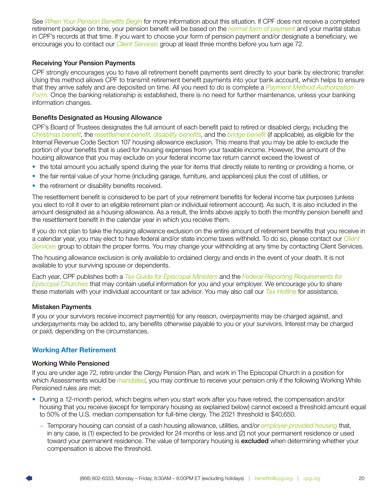<span id="page-21-0"></span>See *[When Your Pension Benefits Begin](#page-6-0)* for more information about this situation. If CPF does not receive a completed retirement package on time, your pension benefit will be based on the *[normal form of payment](#page-19-0)* and your marital status in CPF's records at that time. If you want to choose your form of pension payment and/or designate a beneficiary, we encourage you to contact our *[Client Services](#page-44-0)* group at least three months before you turn age 72.

### Receiving Your Pension Payments

CPF strongly encourages you to have all retirement benefit payments sent directly to your bank by electronic transfer. Using this method allows CPF to transmit retirement benefit payments into your bank account, which helps to ensure that they arrive safely and are deposited on time. All you need to do is complete a *[Payment Method Authorization](https://www.cpg.org/linkservid/A75E2D3D-CCEF-FF48-A6E498373E07F5F0/showMeta/0/?label=Payment%20Method%20Authorization%20Form)  [Form](https://www.cpg.org/linkservid/A75E2D3D-CCEF-FF48-A6E498373E07F5F0/showMeta/0/?label=Payment%20Method%20Authorization%20Form).* Once the banking relationship is established, there is no need for further maintenance, unless your banking information changes.

### Benefits Designated as Housing Allowance

CPF's Board of Trustees designates the full amount of each benefit paid to retired or disabled clergy, including the *[Christmas benefit](#page-30-0)*, the *resettlement benefit, disability benefits*, and the *[bridge benefit](#page-18-0)* (if applicable), as eligible for the Internal Revenue Code Section 107 housing allowance exclusion. This means that you may be able to exclude the portion of your benefits that is used for housing expenses from your taxable income. However, the amount of the housing allowance that you may exclude on your federal income tax return cannot exceed the lowest of

- the total amount you actually spend during the year for items that directly relate to renting or providing a home, or
- the fair rental value of your home (including garage, furniture, and appliances) plus the cost of utilities, or
- the retirement or disability benefits received.

The resettlement benefit is considered to be part of your retirement benefits for federal income tax purposes (unless you elect to roll it over to an eligible retirement plan or individual retirement account). As such, it is also included in the amount designated as a housing allowance. As a result, the limits above apply to both the monthly pension benefit and the resettlement benefit in the calendar year in which you receive them.

If you do not plan to take the housing allowance exclusion on the entire amount of retirement benefits that you receive in a calendar year, you may elect to have federal and/or state income taxes withheld. To do so, please contact our *[Client](#page-44-0)  [Services](#page-44-0)* group to obtain the proper forms. You may change your withholding at any time by contacting Client Services.

The housing allowance exclusion is only available to ordained clergy and ends in the event of your death. It is not available to your surviving spouse or dependents.

Each year, CPF publishes both a *[Tax Guide for Episcopal Ministers](https://www.cpg.org/?LinkServID=374FAF19-B7EE-EEB3-D813DC28435CCA43)* and the *[Federal Reporting Requirements for](https://www.cpg.org/?LinkServID=052C7100-E282-A5B8-8A47C4EBAE1C5599)  [Episcopal Churches](https://www.cpg.org/?LinkServID=052C7100-E282-A5B8-8A47C4EBAE1C5599)* that may contain useful information for you and your employer. We encourage you to share these materials with your individual accountant or tax advisor. You may also call our *[Tax Hotline](#page-44-0)* for assistance.

### Mistaken Payments

If you or your survivors receive incorrect payment(s) for any reason, overpayments may be charged against, and underpayments may be added to, any benefits otherwise payable to you or your survivors. Interest may be charged or paid, depending on the circumstances.

### Working After Retirement

### Working While Pensioned

If you are under age 72, retire under the Clergy Pension Plan, and work in The Episcopal Church in a position for which Assessments would be *[mandated](#page-7-0)*, you may continue to receive your pension only if the following Working While Pensioned rules are met:

- During a 12-month period, which begins when you start work after you have retired, the compensation and/or housing that you receive (except for temporary housing as explained below) cannot exceed a threshold amount equal to 50% of the U.S. median compensation for full-time clergy. The 2021 threshold is \$40,650.
	- ~ Temporary housing can consist of a cash housing allowance, utilities, and/or *[employer-provided housing](#page-41-0)* that, in any case, is (1) expected to be provided for 24 months or less and (2) not your permanent residence or used toward your permanent residence. The value of temporary housing is excluded when determining whether your compensation is above the threshold.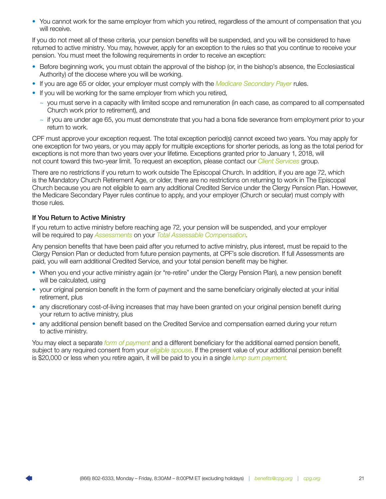<span id="page-22-0"></span>• You cannot work for the same employer from which you retired, regardless of the amount of compensation that you will receive.

If you do not meet all of these criteria, your pension benefits will be suspended, and you will be considered to have returned to active ministry. You may, however, apply for an exception to the rules so that you continue to receive your pension. You must meet the following requirements in order to receive an exception:

- Before beginning work, you must obtain the approval of the bishop (or, in the bishop's absence, the Ecclesiastical Authority) of the diocese where you will be working.
- If you are age 65 or older, your employer must comply with the *[Medicare Secondary Payer](#page-28-0)* rules.
- If you will be working for the same employer from which you retired,
	- $\sim$  you must serve in a capacity with limited scope and remuneration (in each case, as compared to all compensated Church work prior to retirement), and
	- $\sim$  if you are under age 65, you must demonstrate that you had a bona fide severance from employment prior to your return to work.

CPF must approve your exception request. The total exception period(s) cannot exceed two years. You may apply for one exception for two years, or you may apply for multiple exceptions for shorter periods, as long as the total period for exceptions is not more than two years over your lifetime. Exceptions granted prior to January 1, 2018, will not count toward this two-year limit. To request an exception, please contact our *[Client Services](#page-44-0)* group.

There are no restrictions if you return to work outside The Episcopal Church. In addition, if you are age 72, which is the Mandatory Church Retirement Age, or older, there are no restrictions on returning to work in The Episcopal Church because you are not eligible to earn any additional Credited Service under the Clergy Pension Plan. However, the Medicare Secondary Payer rules continue to apply, and your employer (Church or secular) must comply with those rules.

### If You Return to Active Ministry

If you return to active ministry before reaching age 72, your pension will be suspended, and your employer will be required to pay *[Assessments](#page-39-0)* on your *[Total Assessable Compensation](#page-43-0)*.

Any pension benefits that have been paid after you returned to active ministry, plus interest, must be repaid to the Clergy Pension Plan or deducted from future pension payments, at CPF's sole discretion. If full Assessments are paid, you will earn additional Credited Service, and your total pension benefit may be higher.

- When you end your active ministry again (or "re-retire" under the Clergy Pension Plan), a new pension benefit will be calculated, using
- your original pension benefit in the form of payment and the same beneficiary originally elected at your initial retirement, plus
- any discretionary cost-of-living increases that may have been granted on your original pension benefit during your return to active ministry, plus
- any additional pension benefit based on the Credited Service and compensation earned during your return to active ministry.

You may elect a separate *[form of payment](#page-19-0)* and a different beneficiary for the additional earned pension benefit, subject to any required consent from your *[eligible spouse](#page-41-0)*. If the present value of your additional pension benefit is \$20,000 or less when you retire again, it will be paid to you in a single *[lump sum payment.](#page-21-0)*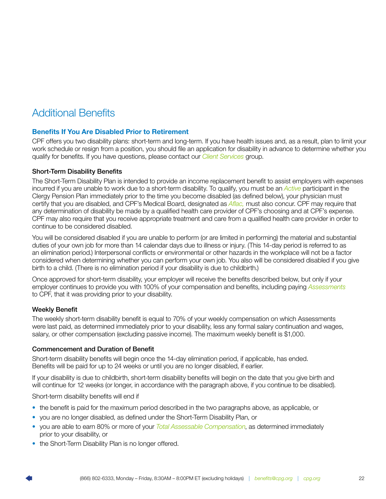## <span id="page-23-0"></span>Additional Benefits

### Benefits If You Are Disabled Prior to Retirement

CPF offers you two disability plans: short-term and long-term. If you have health issues and, as a result, plan to limit your work schedule or resign from a position, you should file an application for disability in advance to determine whether you qualify for benefits. If you have questions, please contact our *[Client Services](#page-44-0)* group.

### Short-Term Disability Benefits

The Short-Term Disability Plan is intended to provide an income replacement benefit to assist employers with expenses incurred if you are unable to work due to a short-term disability. To qualify, you must be an *[Active](#page-39-0)* participant in the Clergy Pension Plan immediately prior to the time you become disabled (as defined below), your physician must certify that you are disabled, and CPF's Medical Board, designated as *[Aflac,](#page-39-2)* must also concur. CPF may require that any determination of disability be made by a qualified health care provider of CPF's choosing and at CPF's expense. CPF may also require that you receive appropriate treatment and care from a qualified health care provider in order to continue to be considered disabled.

You will be considered disabled if you are unable to perform (or are limited in performing) the material and substantial duties of your own job for more than 14 calendar days due to illness or injury. (This 14-day period is referred to as an elimination period.) Interpersonal conflicts or environmental or other hazards in the workplace will not be a factor considered when determining whether you can perform your own job. You also will be considered disabled if you give birth to a child. (There is no elimination period if your disability is due to childbirth.)

Once approved for short-term disability, your employer will receive the benefits described below, but only if your employer continues to provide you with 100% of your compensation and benefits, including paying *[Assessments](#page-39-0)* to CPF, that it was providing prior to your disability.

### Weekly Benefit

The weekly short-term disability benefit is equal to 70% of your weekly compensation on which Assessments were last paid, as determined immediately prior to your disability, less any formal salary continuation and wages, salary, or other compensation (excluding passive income). The maximum weekly benefit is \$1,000.

### Commencement and Duration of Benefit

Short-term disability benefits will begin once the 14-day elimination period, if applicable, has ended. Benefits will be paid for up to 24 weeks or until you are no longer disabled, if earlier.

If your disability is due to childbirth, short-term disability benefits will begin on the date that you give birth and will continue for 12 weeks (or longer, in accordance with the paragraph above, if you continue to be disabled).

Short-term disability benefits will end if

- the benefit is paid for the maximum period described in the two paragraphs above, as applicable, or
- you are no longer disabled, as defined under the Short-Term Disability Plan, or
- you are able to earn 80% or more of your *[Total Assessable Compensation](#page-43-0)*, as determined immediately prior to your disability, or
- the Short-Term Disability Plan is no longer offered.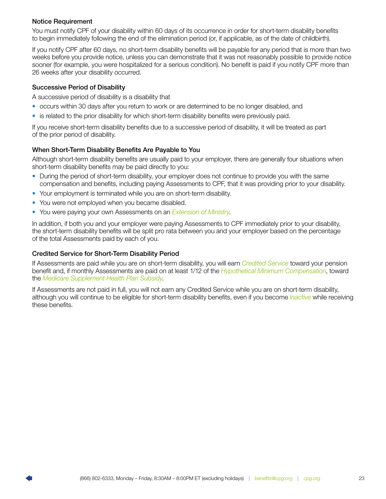### <span id="page-24-0"></span>Notice Requirement

You must notify CPF of your disability within 60 days of its occurrence in order for short-term disability benefits to begin immediately following the end of the elimination period (or, if applicable, as of the date of childbirth).

If you notify CPF after 60 days, no short-term disability benefits will be payable for any period that is more than two weeks before you provide notice, unless you can demonstrate that it was not reasonably possible to provide notice sooner (for example, you were hospitalized for a serious condition). No benefit is paid if you notify CPF more than 26 weeks after your disability occurred.

### Successive Period of Disability

A successive period of disability is a disability that

- occurs within 30 days after you return to work or are determined to be no longer disabled, and
- is related to the prior disability for which short-term disability benefits were previously paid.

If you receive short-term disability benefits due to a successive period of disability, it will be treated as part of the prior period of disability.

### When Short-Term Disability Benefits Are Payable to You

Although short-term disability benefits are usually paid to your employer, there are generally four situations when short-term disability benefits may be paid directly to you:

- During the period of short-term disability, your employer does not continue to provide you with the same compensation and benefits, including paying Assessments to CPF, that it was providing prior to your disability.
- Your employment is terminated while you are on short-term disability.
- You were not employed when you became disabled.
- You were paying your own Assessments on an *[Extension of Ministry](#page-8-0)*.

In addition, if both you and your employer were paying Assessments to CPF immediately prior to your disability, the short-term disability benefits will be split pro rata between you and your employer based on the percentage of the total Assessments paid by each of you.

### Credited Service for Short-Term Disability Period

If Assessments are paid while you are on short-term disability, you will earn *[Credited Service](#page-13-0)* toward your pension benefit and, if monthly Assessments are paid on at least 1/12 of the *[Hypothetical Minimum Compensation](#page-41-0)*, toward the *[Medicare Supplement Health Plan Subsidy](#page-27-0)*.

If Assessments are not paid in full, you will not earn any Credited Service while you are on short-term disability, although you will continue to be eligible for short-term disability benefits, even if you become *[Inactive](#page-42-0)* while receiving these benefits.

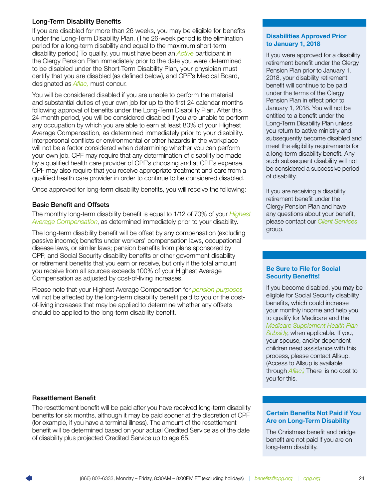### Long-Term Disability Benefits

If you are disabled for more than 26 weeks, you may be eligible for benefits under the Long-Term Disability Plan. (The 26-week period is the elimination period for a long-term disability and equal to the maximum short-term disability period.) To qualify, you must have been an *[Active](#page-39-0)* participant in the Clergy Pension Plan immediately prior to the date you were determined to be disabled under the Short-Term Disability Plan, your physician must certify that you are disabled (as defined below), and CPF's Medical Board, designated as *[Aflac,](#page-39-1)* must concur.

You will be considered disabled if you are unable to perform the material and substantial duties of your own job for up to the first 24 calendar months following approval of benefits under the Long-Term Disability Plan. After this 24-month period, you will be considered disabled if you are unable to perform any occupation by which you are able to earn at least 80% of your Highest Average Compensation, as determined immediately prior to your disability. Interpersonal conflicts or environmental or other hazards in the workplace will not be a factor considered when determining whether you can perform your own job. CPF may require that any determination of disability be made by a qualified health care provider of CPF's choosing and at CPF's expense. CPF may also require that you receive appropriate treatment and care from a qualified health care provider in order to continue to be considered disabled.

Once approved for long-term disability benefits, you will receive the following:

### Basic Benefit and Offsets

The monthly long-term disability benefit is equal to 1/12 of 70% of your *[Highest](#page-41-0) [Average Compensation](#page-41-0)*, as determined immediately prior to your disability.

The long-term disability benefit will be offset by any compensation (excluding passive income); benefits under workers' compensation laws, occupational disease laws, or similar laws; pension benefits from plans sponsored by CPF; and Social Security disability benefits or other government disability or retirement benefits that you earn or receive, but only if the total amount you receive from all sources exceeds 100% of your Highest Average Compensation as adjusted by cost-of-living increases.

Please note that your Highest Average Compensation for *[pension purposes](#page-5-0)* will not be affected by the long-term disability benefit paid to you or the costof-living increases that may be applied to determine whether any offsets should be applied to the long-term disability benefit.

### Resettlement Benefit

The resettlement benefit will be paid after you have received long-term disability benefits for six months, although it may be paid sooner at the discretion of CPF (for example, if you have a terminal illness). The amount of the resettlement benefit will be determined based on your actual Credited Service as of the date of disability plus projected Credited Service up to age 65.

### Disabilities Approved Prior to January 1, 2018

If you were approved for a disability retirement benefit under the Clergy Pension Plan prior to January 1, 2018, your disability retirement benefit will continue to be paid under the terms of the Clergy Pension Plan in effect prior to January 1, 2018. You will not be entitled to a benefit under the Long-Term Disability Plan unless you return to active ministry and subsequently become disabled and meet the eligibility requirements for a long-term disability benefit. Any such subsequent disability will not be considered a successive period of disability.

If you are receiving a disability retirement benefit under the Clergy Pension Plan and have any questions about your benefit, please contact our *[Client Services](#page-44-0)* group.

#### Be Sure to File for Social Security Benefits!

If you become disabled, you may be eligible for Social Security disability benefits, which could increase your monthly income and help you to qualify for Medicare and the *[Medicare Supplement Health Plan](#page-27-0)  [Subsidy](#page-27-0)*, when applicable. If you, your spouse, and/or dependent children need assistance with this process, please contact Allsup. (Access to Allsup is available through *Aflac.)* There is no cost to you for this.

### Certain Benefits Not Paid if You Are on Long-Term Disability

The Christmas benefit and bridge benefit are not paid if you are on long-term disability.

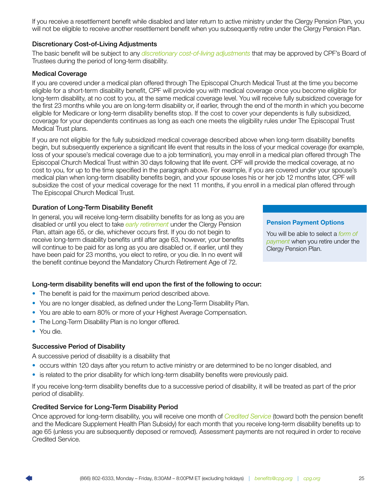If you receive a resettlement benefit while disabled and later return to active ministry under the Clergy Pension Plan, you will not be eligible to receive another resettlement benefit when you subsequently retire under the Clergy Pension Plan.

### Discretionary Cost-of-Living Adjustments

The basic benefit will be subject to any *[discretionary cost-of-living adjustments](#page-27-0)* that may be approved by CPF's Board of Trustees during the period of long-term disability.

### Medical Coverage

If you are covered under a medical plan offered through The Episcopal Church Medical Trust at the time you become eligible for a short-term disability benefit, CPF will provide you with medical coverage once you become eligible for long-term disability, at no cost to you, at the same medical coverage level. You will receive fully subsidized coverage for the first 23 months while you are on long-term disability or, if earlier, through the end of the month in which you become eligible for Medicare or long-term disability benefits stop. If the cost to cover your dependents is fully subsidized, coverage for your dependents continues as long as each one meets the eligibility rules under The Episcopal Trust Medical Trust plans.

If you are not eligible for the fully subsidized medical coverage described above when long-term disability benefits begin, but subsequently experience a significant life event that results in the loss of your medical coverage (for example, loss of your spouse's medical coverage due to a job termination), you may enroll in a medical plan offered through The Episcopal Church Medical Trust within 30 days following that life event. CPF will provide the medical coverage, at no cost to you, for up to the time specified in the paragraph above. For example, if you are covered under your spouse's medical plan when long-term disability benefits begin, and your spouse loses his or her job 12 months later, CPF will subsidize the cost of your medical coverage for the next 11 months, if you enroll in a medical plan offered through The Episcopal Church Medical Trust.

### Duration of Long-Term Disability Benefit

In general, you will receive long-term disability benefits for as long as you are disabled or until you elect to take *[early retirement](#page-40-0)* under the Clergy Pension Plan, attain age 65, or die, whichever occurs first. If you do not begin to receive long-term disability benefits until after age 63, however, your benefits will continue to be paid for as long as you are disabled or, if earlier, until they have been paid for 23 months, you elect to retire, or you die. In no event will the benefit continue beyond the Mandatory Church Retirement Age of 72.

### Long-term disability benefits will end upon the first of the following to occur:

- The benefit is paid for the maximum period described above.
- You are no longer disabled, as defined under the Long-Term Disability Plan.
- You are able to earn 80% or more of your Highest Average Compensation.
- The Long-Term Disability Plan is no longer offered.
- You die.

### Successive Period of Disability

A successive period of disability is a disability that

- occurs within 120 days after you return to active ministry or are determined to be no longer disabled, and
- is related to the prior disability for which long-term disability benefits were previously paid.

If you receive long-term disability benefits due to a successive period of disability, it will be treated as part of the prior period of disability.

### Credited Service for Long-Term Disability Period

Once approved for long-term disability, you will receive one month of *[Credited Service](#page-13-0)* (toward both the pension benefit and the Medicare Supplement Health Plan Subsidy) for each month that you receive long-term disability benefits up to age 65 (unless you are subsequently deposed or removed). Assessment payments are not required in order to receive Credited Service.

### Pension Payment Options

You will be able to select a *[form of](#page-19-0)  [payment](#page-19-0)* when you retire under the Clergy Pension Plan.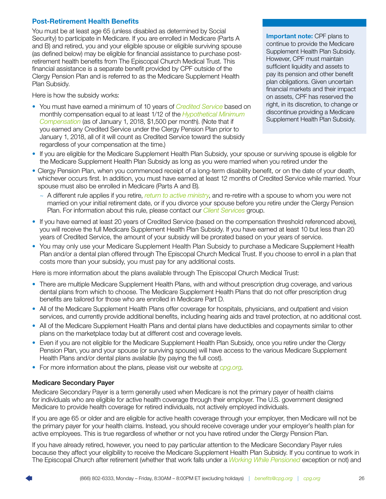### <span id="page-27-0"></span>Post-Retirement Health Benefits

You must be at least age 65 (unless disabled as determined by Social Security) to participate in Medicare. If you are enrolled in Medicare (Parts A and B) and retired, you and your eligible spouse or eligible surviving spouse (as defined below) may be eligible for financial assistance to purchase postretirement health benefits from The Episcopal Church Medical Trust. This financial assistance is a separate benefit provided by CPF outside of the Clergy Pension Plan and is referred to as the Medicare Supplement Health Plan Subsidy.

Here is how the subsidy works:

• You must have earned a minimum of 10 years of *[Credited Service](#page-13-0)* based on monthly compensation equal to at least 1/12 of the *[Hypothetical Minimum](#page-41-0)  [Compensation](#page-41-0)* (as of January 1, 2018, \$1,500 per month). (Note that if you earned any Credited Service under the Clergy Pension Plan prior to January 1, 2018, all of it will count as Credited Service toward the subsidy regardless of your compensation at the time.)

**Important note: CPF plans to** continue to provide the Medicare Supplement Health Plan Subsidy. However, CPF must maintain sufficient liquidity and assets to pay its pension and other benefit plan obligations. Given uncertain financial markets and their impact on assets, CPF has reserved the right, in its discretion, to change or discontinue providing a Medicare Supplement Health Plan Subsidy.

- If you are eligible for the Medicare Supplement Health Plan Subsidy, your spouse or surviving spouse is eligible for the Medicare Supplement Health Plan Subsidy as long as you were married when you retired under the
- Clergy Pension Plan, when you commenced receipt of a long-term disability benefit, or on the date of your death, whichever occurs first. In addition, you must have earned at least 12 months of Credited Service while married. Your spouse must also be enrolled in Medicare (Parts A and B).
	- ~ A different rule applies if you retire, *[return to active ministry](#page-24-0)*, and re-retire with a spouse to whom you were not married on your initial retirement date, or if you divorce your spouse before you retire under the Clergy Pension Plan. For information about this rule, please contact our *[Client Services](#page-44-0)* group.
- If you have earned at least 20 years of Credited Service (based on the compensation threshold referenced above), you will receive the full Medicare Supplement Health Plan Subsidy. If you have earned at least 10 but less than 20 years of Credited Service, the amount of your subsidy will be prorated based on your years of service.
- You may only use your Medicare Supplement Health Plan Subsidy to purchase a Medicare Supplement Health Plan and/or a dental plan offered through The Episcopal Church Medical Trust. If you choose to enroll in a plan that costs more than your subsidy, you must pay for any additional costs.

Here is more information about the plans available through The Episcopal Church Medical Trust:

- There are multiple Medicare Supplement Health Plans, with and without prescription drug coverage, and various dental plans from which to choose. The Medicare Supplement Health Plans that do not offer prescription drug benefits are tailored for those who are enrolled in Medicare Part D.
- All of the Medicare Supplement Health Plans offer coverage for hospitals, physicians, and outpatient and vision services, and currently provide additional benefits, including hearing aids and travel protection, at no additional cost.
- All of the Medicare Supplement Health Plans and dental plans have deductibles and copayments similar to other plans on the marketplace today but at different cost and coverage levels.
- Even if you are not eligible for the Medicare Supplement Health Plan Subsidy, once you retire under the Clergy Pension Plan, you and your spouse (or surviving spouse) will have access to the various Medicare Supplement Health Plans and/or dental plans available (by paying the full cost).
- For more information about the plans, please visit our website at *[cpg.org](http://cpg.org)*.

### Medicare Secondary Payer

Medicare Secondary Payer is a term generally used when Medicare is not the primary payer of health claims for individuals who are eligible for active health coverage through their employer. The U.S. government designed Medicare to provide health coverage for retired individuals, not actively employed individuals.

If you are age 65 or older and are eligible for active health coverage through your employer, then Medicare will not be the primary payer for your health claims. Instead, you should receive coverage under your employer's health plan for active employees. This is true regardless of whether or not you have retired under the Clergy Pension Plan.

If you have already retired, however, you need to pay particular attention to the Medicare Secondary Payer rules because they affect your eligibility to receive the Medicare Supplement Health Plan Subsidy. If you continue to work in The Episcopal Church after retirement (whether that work falls under a *[Working While Pensioned](#page-23-0)* exception or not) and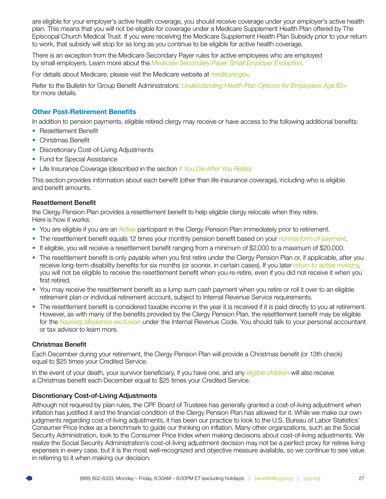<span id="page-28-0"></span>are eligible for your employer's active health coverage, you should receive coverage under your employer's active health plan. This means that you will not be eligible for coverage under a Medicare Supplement Health Plan offered by The Episcopal Church Medical Trust. If you were receiving the Medicare Supplement Health Plan Subsidy prior to your return to work, that subsidy will stop for as long as you continue to be eligible for active health coverage.

There is an exception from the Medicare Secondary Payer rules for active employees who are employed by small employers. Learn more about the *[Medicare Secondary Payer Small Employer Exception](https://www.cpg.org/?LinkServID=2682C7BC-B1BC-B186-34AC2147924BC7B4)*.

For details about Medicare, please visit the Medicare website at *[medicare.gov](http://medicare.gov)*.

Refer to the Bulletin for Group Benefit Administrators: *[Understanding Health Plan Options for Employees Age 65+](https://www.cpg.org/linkservid/84A6B15F-C1C4-020E-E5312A70372B62B3/showMeta/0/?label=Understanding%20Health%20Plan%20Options%20for%20Employees%20Age%2065%2B)* for more details.

### Other Post-Retirement Benefits

In addition to pension payments, eligible retired clergy may receive or have access to the following additional benefits:

- Resettlement Benefit
- Christmas Benefit
- Discretionary Cost-of-Living Adjustments
- Fund for Special Assistance
- Life Insurance Coverage (described in the section *[If You Die After You Retire\)](#page-31-0)*

This section provides information about each benefit (other than life insurance coverage), including who is eligible and benefit amounts.

### Resettlement Benefit

the Clergy Pension Plan provides a resettlement benefit to help eligible clergy relocate when they retire. Here is how it works:

- You are eligible if you are an *[Active](#page-39-0)* participant in the Clergy Pension Plan immediately prior to retirement.
- The resettlement benefit equals 12 times your monthly pension benefit based on your *[normal form of payment](#page-17-0)*.
- If eligible, you will receive a resettlement benefit ranging from a minimum of \$2,000 to a maximum of \$20,000.
- The resettlement benefit is only payable when you first retire under the Clergy Pension Plan or, if applicable, after you receive long-term disability benefits for six months (or sooner, in certain cases). If you later *[return to active ministry](#page-24-0)*, you will not be eligible to receive the resettlement benefit when you re-retire, even if you did not receive it when you first retired.
- You may receive the resettlement benefit as a lump sum cash payment when you retire or roll it over to an eligible retirement plan or individual retirement account, subject to Internal Revenue Service requirements.
- The resettlement benefit is considered taxable income in the year it is received if it is paid directly to you at retirement. However, as with many of the benefits provided by the Clergy Pension Plan, the resettlement benefit may be eligible for the *[housing allowance exclusion](#page-23-0)* under the Internal Revenue Code. You should talk to your personal accountant or tax advisor to learn more.

### Christmas Benefit

Each December during your retirement, the Clergy Pension Plan will provide a Christmas benefit (or 13th check) equal to \$25 times your Credited Service.

In the event of your death, your survivor beneficiary, if you have one, and any *[eligible children](#page-41-0)* will also receive a Christmas benefit each December equal to \$25 times your Credited Service.

### Discretionary Cost-of-Living Adjustments

Although not required by plan rules, the CPF Board of Trustees has generally granted a cost-of-living adjustment when inflation has justified it and the financial condition of the Clergy Pension Plan has allowed for it. While we make our own judgments regarding cost-of-living adjustments, it has been our practice to look to the U.S. Bureau of Labor Statistics' Consumer Price Index as a benchmark to guide our thinking on inflation. Many other organizations, such as the Social Security Administration, look to the Consumer Price Index when making decisions about cost-of-living adjustments. We realize the Social Security Administration's cost-of-living adjustment decision may not be a perfect proxy for retiree living expenses in every case, but it is the most well-recognized and objective measure available, so we continue to see value in referring to it when making our decision.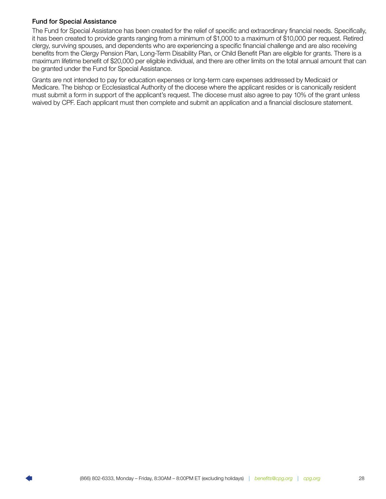### <span id="page-29-0"></span>Fund for Special Assistance

The Fund for Special Assistance has been created for the relief of specific and extraordinary financial needs. Specifically, it has been created to provide grants ranging from a minimum of \$1,000 to a maximum of \$10,000 per request. Retired clergy, surviving spouses, and dependents who are experiencing a specific financial challenge and are also receiving benefits from the Clergy Pension Plan, Long-Term Disability Plan, or Child Benefit Plan are eligible for grants. There is a maximum lifetime benefit of \$20,000 per eligible individual, and there are other limits on the total annual amount that can be granted under the Fund for Special Assistance.

Grants are not intended to pay for education expenses or long-term care expenses addressed by Medicaid or Medicare. The bishop or Ecclesiastical Authority of the diocese where the applicant resides or is canonically resident must submit a form in support of the applicant's request. The diocese must also agree to pay 10% of the grant unless waived by CPF. Each applicant must then complete and submit an application and a financial disclosure statement.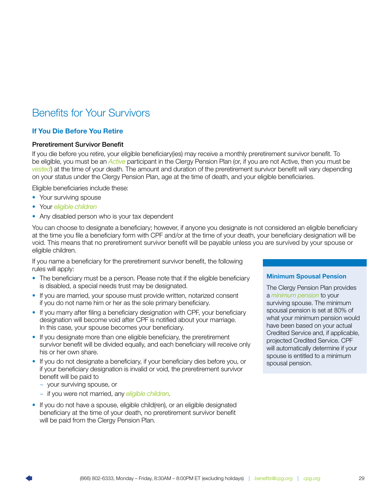# <span id="page-30-0"></span>Benefits for Your Survivors

### If You Die Before You Retire

### Preretirement Survivor Benefit

If you die before you retire, your eligible beneficiary(ies) may receive a monthly preretirement survivor benefit. To be eligible, you must be an *[Active](#page-39-0)* participant in the Clergy Pension Plan (or, if you are not Active, then you must be *[vested](#page-6-0)*) at the time of your death. The amount and duration of the preretirement survivor benefit will vary depending on your status under the Clergy Pension Plan, age at the time of death, and your eligible beneficiaries.

Eligible beneficiaries include these:

- Your surviving spouse
- Your *[eligible children](#page-41-0)*
- Any disabled person who is your tax dependent

You can choose to designate a beneficiary; however, if anyone you designate is not considered an eligible beneficiary at the time you file a beneficiary form with CPF and/or at the time of your death, your beneficiary designation will be void. This means that no preretirement survivor benefit will be payable unless you are survived by your spouse or eligible children.

If you name a beneficiary for the preretirement survivor benefit, the following rules will apply:

- The beneficiary must be a person. Please note that if the eligible beneficiary is disabled, a special needs trust may be designated.
- If you are married, your spouse must provide written, notarized consent if you do not name him or her as the sole primary beneficiary.
- If you marry after filing a beneficiary designation with CPF, your beneficiary designation will become void after CPF is notified about your marriage. In this case, your spouse becomes your beneficiary.
- If you designate more than one eligible beneficiary, the preretirement survivor benefit will be divided equally, and each beneficiary will receive only his or her own share.
- If you do not designate a beneficiary, if your beneficiary dies before you, or if your beneficiary designation is invalid or void, the preretirement survivor benefit will be paid to
	- ~ your surviving spouse, or
	- ~ if you were not married, any *[eligible children](#page-41-0)*.
- If you do not have a spouse, eligible child(ren), or an eligible designated beneficiary at the time of your death, no preretirement survivor benefit will be paid from the Clergy Pension Plan.

### Minimum Spousal Pension

The Clergy Pension Plan provides a *[minimum pension](#page-17-0)* to your surviving spouse. The minimum spousal pension is set at 80% of what your minimum pension would have been based on your actual Credited Service and, if applicable, projected Credited Service. CPF will automatically determine if your spouse is entitled to a minimum spousal pension.

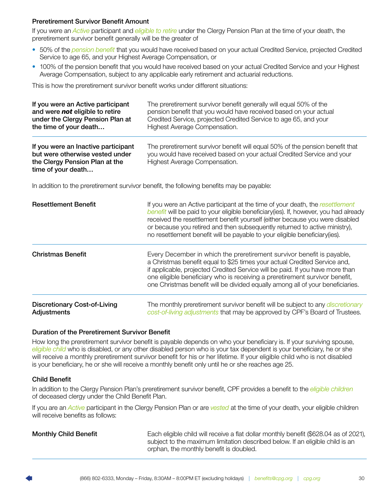### <span id="page-31-0"></span>Preretirement Survivor Benefit Amount

If you were an *[Active](#page-39-0)* participant and *[eligible to retire](#page-6-0)* under the Clergy Pension Plan at the time of your death, the preretirement survivor benefit generally will be the greater of

- 50% of the *[pension benefit](#page-16-0)* that you would have received based on your actual Credited Service, projected Credited Service to age 65, and your Highest Average Compensation, or
- 100% of the pension benefit that you would have received based on your actual Credited Service and your Highest Average Compensation, subject to any applicable early retirement and actuarial reductions.

This is how the preretirement survivor benefit works under different situations:

| If you were an Active participant                                                                                              | The preretirement survivor benefit generally will equal 50% of the                                                                                                                       |
|--------------------------------------------------------------------------------------------------------------------------------|------------------------------------------------------------------------------------------------------------------------------------------------------------------------------------------|
| and were not eligible to retire                                                                                                | pension benefit that you would have received based on your actual                                                                                                                        |
| under the Clergy Pension Plan at                                                                                               | Credited Service, projected Credited Service to age 65, and your                                                                                                                         |
| the time of your death                                                                                                         | Highest Average Compensation.                                                                                                                                                            |
| If you were an Inactive participant<br>but were otherwise vested under<br>the Clergy Pension Plan at the<br>time of your death | The preretirement survivor benefit will equal 50% of the pension benefit that<br>you would have received based on your actual Credited Service and your<br>Highest Average Compensation. |

In addition to the preretirement survivor benefit, the following benefits may be payable:

| <b>Resettlement Benefit</b>                        | If you were an Active participant at the time of your death, the resettlement<br>benefit will be paid to your eligible beneficiary(ies). If, however, you had already<br>received the resettlement benefit yourself (either because you were disabled<br>or because you retired and then subsequently returned to active ministry),<br>no resettlement benefit will be payable to your eligible beneficiary (ies). |
|----------------------------------------------------|--------------------------------------------------------------------------------------------------------------------------------------------------------------------------------------------------------------------------------------------------------------------------------------------------------------------------------------------------------------------------------------------------------------------|
| <b>Christmas Benefit</b>                           | Every December in which the preretirement survivor benefit is payable,<br>a Christmas benefit equal to \$25 times your actual Credited Service and,<br>if applicable, projected Credited Service will be paid. If you have more than<br>one eligible beneficiary who is receiving a preretirement survivor benefit,<br>one Christmas benefit will be divided equally among all of your beneficiaries.              |
| <b>Discretionary Cost-of-Living</b><br>Adjustments | The monthly preretirement survivor benefit will be subject to any <i>discretionary</i><br>cost-of-living adjustments that may be approved by CPF's Board of Trustees.                                                                                                                                                                                                                                              |

### Duration of the Preretirement Survivor Benefit

How long the preretirement survivor benefit is payable depends on who your beneficiary is. If your surviving spouse, *[eligible child](#page-41-0)* who is disabled, or any other disabled person who is your tax dependent is your beneficiary, he or she will receive a monthly preretirement survivor benefit for his or her lifetime. If your eligible child who is not disabled is your beneficiary, he or she will receive a monthly benefit only until he or she reaches age 25.

### Child Benefit

In addition to the Clergy Pension Plan's preretirement survivor benefit, CPF provides a benefit to the *[eligible children](#page-41-0)* of deceased clergy under the Child Benefit Plan.

If you are an *[Active](#page-39-0)* participant in the Clergy Pension Plan or are *[vested](#page-6-0)* at the time of your death, your eligible children will receive benefits as follows:

**Monthly Child Benefit** Each eligible child will receive a flat dollar monthly benefit (\$628.04 as of 2021), subject to the maximum limitation described below. If an eligible child is an orphan, the monthly benefit is doubled.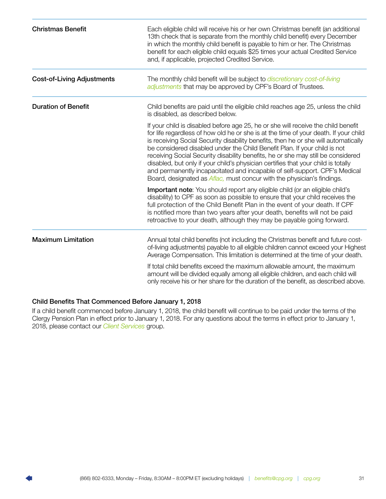<span id="page-32-0"></span>

| <b>Christmas Benefit</b>          | Each eligible child will receive his or her own Christmas benefit (an additional<br>13th check that is separate from the monthly child benefit) every December<br>in which the monthly child benefit is payable to him or her. The Christmas<br>benefit for each eligible child equals \$25 times your actual Credited Service<br>and, if applicable, projected Credited Service.                                                                                                                                                                                                                                                                                                      |
|-----------------------------------|----------------------------------------------------------------------------------------------------------------------------------------------------------------------------------------------------------------------------------------------------------------------------------------------------------------------------------------------------------------------------------------------------------------------------------------------------------------------------------------------------------------------------------------------------------------------------------------------------------------------------------------------------------------------------------------|
| <b>Cost-of-Living Adjustments</b> | The monthly child benefit will be subject to <i>discretionary cost-of-living</i><br>adjustments that may be approved by CPF's Board of Trustees.                                                                                                                                                                                                                                                                                                                                                                                                                                                                                                                                       |
| <b>Duration of Benefit</b>        | Child benefits are paid until the eligible child reaches age 25, unless the child<br>is disabled, as described below.                                                                                                                                                                                                                                                                                                                                                                                                                                                                                                                                                                  |
|                                   | If your child is disabled before age 25, he or she will receive the child benefit<br>for life regardless of how old he or she is at the time of your death. If your child<br>is receiving Social Security disability benefits, then he or she will automatically<br>be considered disabled under the Child Benefit Plan. If your child is not<br>receiving Social Security disability benefits, he or she may still be considered<br>disabled, but only if your child's physician certifies that your child is totally<br>and permanently incapacitated and incapable of self-support. CPF's Medical<br>Board, designated as <i>Aflac</i> , must concur with the physician's findings. |
|                                   | Important note: You should report any eligible child (or an eligible child's<br>disability) to CPF as soon as possible to ensure that your child receives the<br>full protection of the Child Benefit Plan in the event of your death. If CPF<br>is notified more than two years after your death, benefits will not be paid<br>retroactive to your death, although they may be payable going forward.                                                                                                                                                                                                                                                                                 |
| <b>Maximum Limitation</b>         | Annual total child benefits (not including the Christmas benefit and future cost-<br>of-living adjustments) payable to all eligible children cannot exceed your Highest<br>Average Compensation. This limitation is determined at the time of your death.                                                                                                                                                                                                                                                                                                                                                                                                                              |
|                                   | If total child benefits exceed the maximum allowable amount, the maximum<br>amount will be divided equally among all eligible children, and each child will<br>only receive his or her share for the duration of the benefit, as described above.                                                                                                                                                                                                                                                                                                                                                                                                                                      |

### Child Benefits That Commenced Before January 1, 2018

If a child benefit commenced before January 1, 2018, the child benefit will continue to be paid under the terms of the Clergy Pension Plan in effect prior to January 1, 2018. For any questions about the terms in effect prior to January 1, 2018, please contact our *[Client Services](#page-44-0)* group.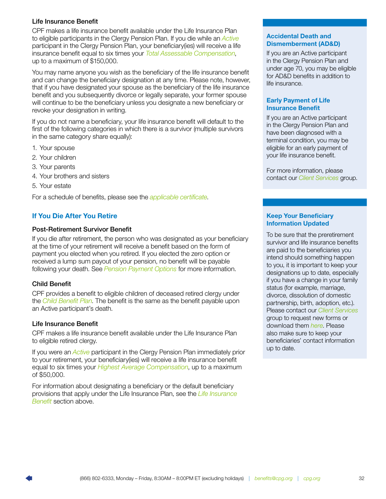### <span id="page-33-0"></span>Life Insurance Benefit

CPF makes a life insurance benefit available under the Life Insurance Plan to eligible participants in the Clergy Pension Plan. If you die while an *[Active](#page-39-0)* participant in the Clergy Pension Plan, your beneficiary(ies) will receive a life insurance benefit equal to six times your *[Total Assessable Compensation](#page-43-0)*, up to a maximum of \$150,000.

You may name anyone you wish as the beneficiary of the life insurance benefit and can change the beneficiary designation at any time. Please note, however, that if you have designated your spouse as the beneficiary of the life insurance benefit and you subsequently divorce or legally separate, your former spouse will continue to be the beneficiary unless you designate a new beneficiary or revoke your designation in writing.

If you do not name a beneficiary, your life insurance benefit will default to the first of the following categories in which there is a survivor (multiple survivors in the same category share equally):

- 1. Your spouse
- 2. Your children
- 3. Your parents
- 4. Your brothers and sisters
- 5. Your estate

For a schedule of benefits, please see the *[applicable certificate](https://www.cpg.org/redirects/clergy-pension-plan-life-certificates/)*.

### If You Die After You Retire

### Post-Retirement Survivor Benefit

If you die after retirement, the person who was designated as your beneficiary at the time of your retirement will receive a benefit based on the form of payment you elected when you retired. If you elected the zero option or received a lump sum payout of your pension, no benefit will be payable following your death. See *[Pension Payment Options](#page-19-0)* for more information.

### Child Benefit

CPF provides a benefit to eligible children of deceased retired clergy under the *[Child Benefit Plan](#page-32-0)*. The benefit is the same as the benefit payable upon an Active participant's death.

### Life Insurance Benefit

CPF makes a life insurance benefit available under the Life Insurance Plan to eligible retired clergy.

If you were an *[Active](#page-39-0)* participant in the Clergy Pension Plan immediately prior to your retirement, your beneficiary(ies) will receive a life insurance benefit equal to six times your *[Highest Average Compensatio](#page-41-0)n*, up to a maximum of \$50,000.

For information about designating a beneficiary or the default beneficiary provisions that apply under the Life Insurance Plan, see the *[Life Insurance](#page-34-0)  [Benefit](#page-34-0)* section above.

### Accidental Death and Dismemberment (AD&D)

If you are an Active participant in the Clergy Pension Plan and under age 70, you may be eligible for AD&D benefits in addition to life insurance.

### Early Payment of Life Insurance Benefit

If you are an Active participant in the Clergy Pension Plan and have been diagnosed with a terminal condition, you may be eligible for an early payment of your life insurance benefit.

For more information, please contact our *[Client Services](#page-44-0)* group.

### Keep Your Beneficiary Information Updated

To be sure that the preretirement survivor and life insurance benefits are paid to the beneficiaries you intend should something happen to you, it is important to keep your designations up to date, especially if you have a change in your family status (for example, marriage, divorce, dissolution of domestic partnership, birth, adoption, etc.). Please contact our *[Client Services](#page-44-0)* group to request new forms or download them *[here](https://www.cpg.org/forms-and-publications/forms/pensions/)*. Please also make sure to keep your beneficiaries' contact information up to date.

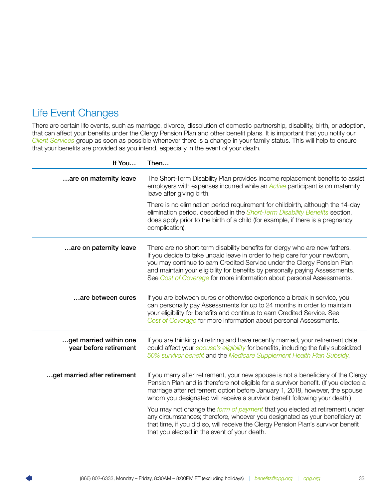### <span id="page-34-0"></span>Life Event Changes

There are certain life events, such as marriage, divorce, dissolution of domestic partnership, disability, birth, or adoption, that can affect your benefits under the Clergy Pension Plan and other benefit plans. It is important that you notify our *[Client Services](#page-44-0)* group as soon as possible whenever there is a change in your family status. This will help to ensure that your benefits are provided as you intend, especially in the event of your death.

| If You                                           | Then                                                                                                                                                                                                                                                                                                                                                                                          |
|--------------------------------------------------|-----------------------------------------------------------------------------------------------------------------------------------------------------------------------------------------------------------------------------------------------------------------------------------------------------------------------------------------------------------------------------------------------|
| are on maternity leave                           | The Short-Term Disability Plan provides income replacement benefits to assist<br>employers with expenses incurred while an <b>Active</b> participant is on maternity<br>leave after giving birth.                                                                                                                                                                                             |
|                                                  | There is no elimination period requirement for childbirth, although the 14-day<br>elimination period, described in the Short-Term Disability Benefits section,<br>does apply prior to the birth of a child (for example, if there is a pregnancy<br>complication).                                                                                                                            |
| are on paternity leave                           | There are no short-term disability benefits for clergy who are new fathers.<br>If you decide to take unpaid leave in order to help care for your newborn,<br>you may continue to earn Credited Service under the Clergy Pension Plan<br>and maintain your eligibility for benefits by personally paying Assessments.<br>See Cost of Coverage for more information about personal Assessments. |
| are between cures                                | If you are between cures or otherwise experience a break in service, you<br>can personally pay Assessments for up to 24 months in order to maintain<br>your eligibility for benefits and continue to earn Credited Service. See<br>Cost of Coverage for more information about personal Assessments.                                                                                          |
| get married within one<br>year before retirement | If you are thinking of retiring and have recently married, your retirement date<br>could affect your spouse's eligibility for benefits, including the fully subsidized<br>50% survivor benefit and the Medicare Supplement Health Plan Subsidy.                                                                                                                                               |
| get married after retirement                     | If you marry after retirement, your new spouse is not a beneficiary of the Clergy<br>Pension Plan and is therefore not eligible for a survivor benefit. (If you elected a<br>marriage after retirement option before January 1, 2018, however, the spouse<br>whom you designated will receive a survivor benefit following your death.)                                                       |
|                                                  | You may not change the form of payment that you elected at retirement under<br>any circumstances; therefore, whoever you designated as your beneficiary at<br>that time, if you did so, will receive the Clergy Pension Plan's survivor benefit<br>that you elected in the event of your death.                                                                                               |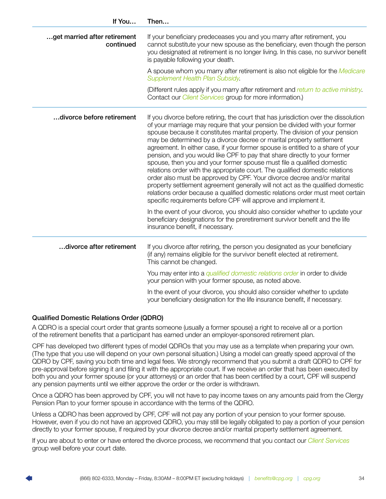| If You                                    | Then                                                                                                                                                                                                                                                                                                                                                                                                                                                                                                                                                                                                                                                                                                                                                                                                                                                                                                                                                                  |
|-------------------------------------------|-----------------------------------------------------------------------------------------------------------------------------------------------------------------------------------------------------------------------------------------------------------------------------------------------------------------------------------------------------------------------------------------------------------------------------------------------------------------------------------------------------------------------------------------------------------------------------------------------------------------------------------------------------------------------------------------------------------------------------------------------------------------------------------------------------------------------------------------------------------------------------------------------------------------------------------------------------------------------|
| get married after retirement<br>continued | If your beneficiary predeceases you and you marry after retirement, you<br>cannot substitute your new spouse as the beneficiary, even though the person<br>you designated at retirement is no longer living. In this case, no survivor benefit<br>is payable following your death.                                                                                                                                                                                                                                                                                                                                                                                                                                                                                                                                                                                                                                                                                    |
|                                           | A spouse whom you marry after retirement is also not eligible for the <i>Medicare</i><br>Supplement Health Plan Subsidy.                                                                                                                                                                                                                                                                                                                                                                                                                                                                                                                                                                                                                                                                                                                                                                                                                                              |
|                                           | (Different rules apply if you marry after retirement and return to active ministry.<br>Contact our <i>Client Services</i> group for more information.)                                                                                                                                                                                                                                                                                                                                                                                                                                                                                                                                                                                                                                                                                                                                                                                                                |
| divorce before retirement                 | If you divorce before retiring, the court that has jurisdiction over the dissolution<br>of your marriage may require that your pension be divided with your former<br>spouse because it constitutes marital property. The division of your pension<br>may be determined by a divorce decree or marital property settlement<br>agreement. In either case, if your former spouse is entitled to a share of your<br>pension, and you would like CPF to pay that share directly to your former<br>spouse, then you and your former spouse must file a qualified domestic<br>relations order with the appropriate court. The qualified domestic relations<br>order also must be approved by CPF. Your divorce decree and/or marital<br>property settlement agreement generally will not act as the qualified domestic<br>relations order because a qualified domestic relations order must meet certain<br>specific requirements before CPF will approve and implement it. |
|                                           | In the event of your divorce, you should also consider whether to update your<br>beneficiary designations for the preretirement survivor benefit and the life<br>insurance benefit, if necessary.                                                                                                                                                                                                                                                                                                                                                                                                                                                                                                                                                                                                                                                                                                                                                                     |
| divorce after retirement                  | If you divorce after retiring, the person you designated as your beneficiary<br>(if any) remains eligible for the survivor benefit elected at retirement.<br>This cannot be changed.                                                                                                                                                                                                                                                                                                                                                                                                                                                                                                                                                                                                                                                                                                                                                                                  |
|                                           | You may enter into a qualified domestic relations order in order to divide<br>your pension with your former spouse, as noted above.                                                                                                                                                                                                                                                                                                                                                                                                                                                                                                                                                                                                                                                                                                                                                                                                                                   |
|                                           | In the event of your divorce, you should also consider whether to update<br>your beneficiary designation for the life insurance benefit, if necessary.                                                                                                                                                                                                                                                                                                                                                                                                                                                                                                                                                                                                                                                                                                                                                                                                                |

### Qualified Domestic Relations Order (QDRO)

A QDRO is a special court order that grants someone (usually a former spouse) a right to receive all or a portion of the retirement benefits that a participant has earned under an employer-sponsored retirement plan.

CPF has developed two different types of model QDROs that you may use as a template when preparing your own. (The type that you use will depend on your own personal situation.) Using a model can greatly speed approval of the QDRO by CPF, saving you both time and legal fees. We strongly recommend that you submit a draft QDRO to CPF for pre-approval before signing it and filing it with the appropriate court. If we receive an order that has been executed by both you and your former spouse (or your attorneys) or an order that has been certified by a court, CPF will suspend any pension payments until we either approve the order or the order is withdrawn.

Once a QDRO has been approved by CPF, you will not have to pay income taxes on any amounts paid from the Clergy Pension Plan to your former spouse in accordance with the terms of the QDRO.

Unless a QDRO has been approved by CPF, CPF will not pay any portion of your pension to your former spouse. However, even if you do not have an approved QDRO, you may still be legally obligated to pay a portion of your pension directly to your former spouse, if required by your divorce decree and/or marital property settlement agreement.

If you are about to enter or have entered the divorce process, we recommend that you contact our *Client Services* group well before your court date.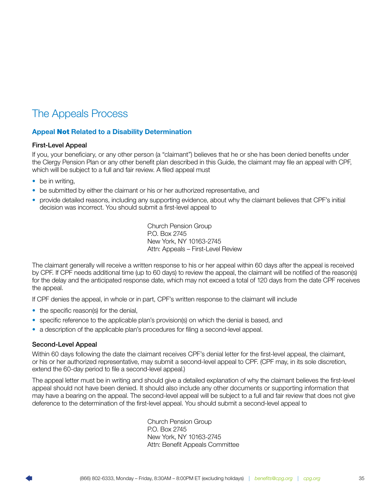# <span id="page-36-0"></span>The Appeals Process

### Appeal Not Related to a Disability Determination

### First-Level Appeal

If you, your beneficiary, or any other person (a "claimant") believes that he or she has been denied benefits under the Clergy Pension Plan or any other benefit plan described in this Guide, the claimant may file an appeal with CPF, which will be subject to a full and fair review. A filed appeal must

- be in writing.
- be submitted by either the claimant or his or her authorized representative, and
- provide detailed reasons, including any supporting evidence, about why the claimant believes that CPF's initial decision was incorrect. You should submit a first-level appeal to

Church Pension Group P.O. Box 2745 New York, NY 10163-2745 Attn: Appeals – First-Level Review

The claimant generally will receive a written response to his or her appeal within 60 days after the appeal is received by CPF. If CPF needs additional time (up to 60 days) to review the appeal, the claimant will be notified of the reason(s) for the delay and the anticipated response date, which may not exceed a total of 120 days from the date CPF receives the appeal.

If CPF denies the appeal, in whole or in part, CPF's written response to the claimant will include

- the specific reason(s) for the denial,
- specific reference to the applicable plan's provision(s) on which the denial is based, and
- a description of the applicable plan's procedures for filing a second-level appeal.

### Second-Level Appeal

Within 60 days following the date the claimant receives CPF's denial letter for the first-level appeal, the claimant, or his or her authorized representative, may submit a second-level appeal to CPF. (CPF may, in its sole discretion, extend the 60-day period to file a second-level appeal.)

The appeal letter must be in writing and should give a detailed explanation of why the claimant believes the first-level appeal should not have been denied. It should also include any other documents or supporting information that may have a bearing on the appeal. The second-level appeal will be subject to a full and fair review that does not give deference to the determination of the first-level appeal. You should submit a second-level appeal to

> Church Pension Group P.O. Box 2745 New York, NY 10163-2745 Attn: Benefit Appeals Committee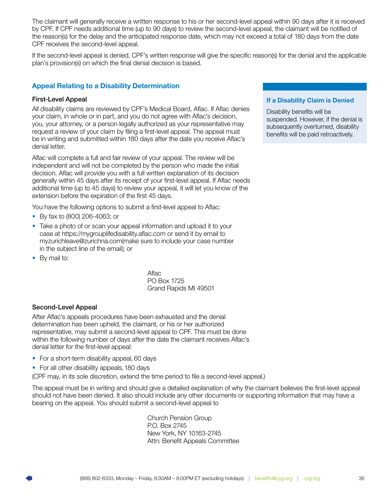The claimant will generally receive a written response to his or her second-level appeal within 90 days after it is received by CPF. If CPF needs additional time (up to 90 days) to review the second-level appeal, the claimant will be notified of the reason(s) for the delay and the anticipated response date, which may not exceed a total of 180 days from the date CPF receives the second-level appeal.

If the second-level appeal is denied, CPF's written response will give the specific reason(s) for the denial and the applicable plan's provision(s) on which the final denial decision is based.

### Appeal Relating to a Disability Determination

### First-Level Appeal

All disability claims are reviewed by CPF's Medical Board, Aflac. If Aflac denies your claim, in whole or in part, and you do not agree with Aflac's decision, you, your attorney, or a person legally authorized as your representative may request a review of your claim by filing a first-level appeal. The appeal must be in writing and submitted within 180 days after the date you receive Aflac's denial letter.

Aflac will complete a full and fair review of your appeal. The review will be independent and will not be completed by the person who made the initial decision. Aflac will provide you with a full written explanation of its decision generally within 45 days after its receipt of your first-level appeal. If Aflac needs additional time (up to 45 days) to review your appeal, it will let you know of the extension before the expiration of the first 45 days.

You have the following options to submit a first-level appeal to Aflac:

- By fax to (800) 206-4063; or
- Take a photo of or scan your appeal information and upload it to your case at https://mygrouplifedisability.aflac.com or send it by email to myzurichleave@zurichna.com(make sure to include your case number in the subject line of the email); or
- By mail to:

Aflac PO Box 1725 Grand Rapids MI 49501

### Second-Level Appeal

After Aflac's appeals procedures have been exhausted and the denial determination has been upheld, the claimant, or his or her authorized representative, may submit a second-level appeal to CPF. This must be done within the following number of days after the date the claimant receives Aflac's denial letter for the first-level appeal:

- For a short-term disability appeal, 60 days
- For all other disability appeals, 180 days

(CPF may, in its sole discretion, extend the time period to file a second-level appeal.)

The appeal must be in writing and should give a detailed explanation of why the claimant believes the first-level appeal should not have been denied. It also should include any other documents or supporting information that may have a bearing on the appeal. You should submit a second-level appeal to

> Church Pension Group P.O. Box 2745 New York, NY 10163-2745 Attn: Benefit Appeals Committee

### If a Disability Claim is Denied

Disability benefits will be suspended. However, if the denial is subsequently overturned, disability benefits will be paid retroactively.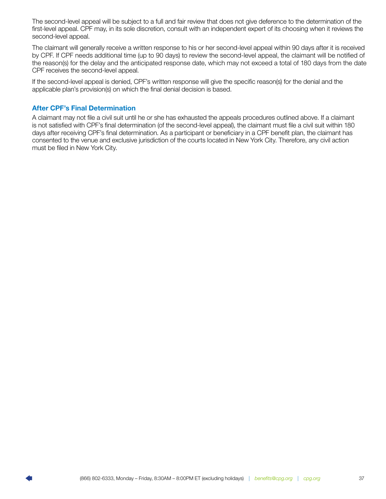The second-level appeal will be subject to a full and fair review that does not give deference to the determination of the first-level appeal. CPF may, in its sole discretion, consult with an independent expert of its choosing when it reviews the second-level appeal.

The claimant will generally receive a written response to his or her second-level appeal within 90 days after it is received by CPF. If CPF needs additional time (up to 90 days) to review the second-level appeal, the claimant will be notified of the reason(s) for the delay and the anticipated response date, which may not exceed a total of 180 days from the date CPF receives the second-level appeal.

If the second-level appeal is denied, CPF's written response will give the specific reason(s) for the denial and the applicable plan's provision(s) on which the final denial decision is based.

### After CPF's Final Determination

A claimant may not file a civil suit until he or she has exhausted the appeals procedures outlined above. If a claimant is not satisfied with CPF's final determination (of the second-level appeal), the claimant must file a civil suit within 180 days after receiving CPF's final determination. As a participant or beneficiary in a CPF benefit plan, the claimant has consented to the venue and exclusive jurisdiction of the courts located in New York City. Therefore, any civil action must be filed in New York City.

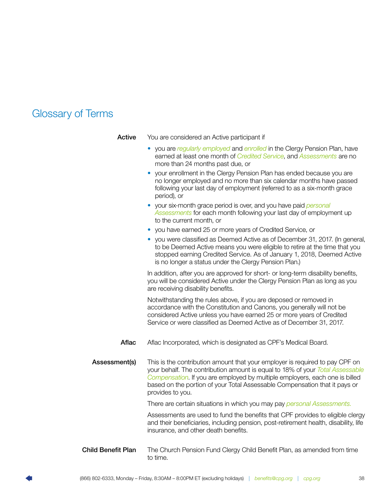# <span id="page-39-2"></span><span id="page-39-0"></span>Glossary of Terms

<span id="page-39-1"></span>

| Active                    | You are considered an Active participant if                                                                                                                                                                                                                                                                                                    |
|---------------------------|------------------------------------------------------------------------------------------------------------------------------------------------------------------------------------------------------------------------------------------------------------------------------------------------------------------------------------------------|
|                           | • you are regularly employed and enrolled in the Clergy Pension Plan, have<br>earned at least one month of <i>Credited Service</i> , and <i>Assessments</i> are no<br>more than 24 months past due, or                                                                                                                                         |
|                           | your enrollment in the Clergy Pension Plan has ended because you are<br>no longer employed and no more than six calendar months have passed<br>following your last day of employment (referred to as a six-month grace<br>period), or                                                                                                          |
|                           | • your six-month grace period is over, and you have paid <i>personal</i><br>Assessments for each month following your last day of employment up<br>to the current month, or                                                                                                                                                                    |
|                           | • you have earned 25 or more years of Credited Service, or                                                                                                                                                                                                                                                                                     |
|                           | you were classified as Deemed Active as of December 31, 2017. (In general,<br>to be Deemed Active means you were eligible to retire at the time that you<br>stopped earning Credited Service. As of January 1, 2018, Deemed Active<br>is no longer a status under the Clergy Pension Plan.)                                                    |
|                           | In addition, after you are approved for short- or long-term disability benefits,<br>you will be considered Active under the Clergy Pension Plan as long as you<br>are receiving disability benefits.                                                                                                                                           |
|                           | Notwithstanding the rules above, if you are deposed or removed in<br>accordance with the Constitution and Canons, you generally will not be<br>considered Active unless you have earned 25 or more years of Credited<br>Service or were classified as Deemed Active as of December 31, 2017.                                                   |
| <b>Aflac</b>              | Aflac Incorporated, which is designated as CPF's Medical Board.                                                                                                                                                                                                                                                                                |
| Assessment(s)             | This is the contribution amount that your employer is required to pay CPF on<br>your behalf. The contribution amount is equal to 18% of your Total Assessable<br>Compensation. If you are employed by multiple employers, each one is billed<br>based on the portion of your Total Assessable Compensation that it pays or<br>provides to you. |
|                           | There are certain situations in which you may pay personal Assessments.                                                                                                                                                                                                                                                                        |
|                           | Assessments are used to fund the benefits that CPF provides to eligible clergy<br>and their beneficiaries, including pension, post-retirement health, disability, life<br>insurance, and other death benefits.                                                                                                                                 |
| <b>Child Benefit Plan</b> | The Church Pension Fund Clergy Child Benefit Plan, as amended from time<br>to time.                                                                                                                                                                                                                                                            |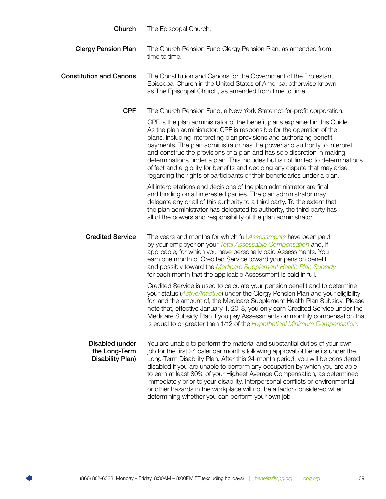<span id="page-40-0"></span>

| Church                                                      | The Episcopal Church.                                                                                                                                                                                                                                                                                                                                                                                                                                                                                                                                                                                                                  |
|-------------------------------------------------------------|----------------------------------------------------------------------------------------------------------------------------------------------------------------------------------------------------------------------------------------------------------------------------------------------------------------------------------------------------------------------------------------------------------------------------------------------------------------------------------------------------------------------------------------------------------------------------------------------------------------------------------------|
| <b>Clergy Pension Plan</b>                                  | The Church Pension Fund Clergy Pension Plan, as amended from<br>time to time.                                                                                                                                                                                                                                                                                                                                                                                                                                                                                                                                                          |
| <b>Constitution and Canons</b>                              | The Constitution and Canons for the Government of the Protestant<br>Episcopal Church in the United States of America, otherwise known<br>as The Episcopal Church, as amended from time to time.                                                                                                                                                                                                                                                                                                                                                                                                                                        |
| <b>CPF</b>                                                  | The Church Pension Fund, a New York State not-for-profit corporation.                                                                                                                                                                                                                                                                                                                                                                                                                                                                                                                                                                  |
|                                                             | CPF is the plan administrator of the benefit plans explained in this Guide.<br>As the plan administrator, CPF is responsible for the operation of the<br>plans, including interpreting plan provisions and authorizing benefit<br>payments. The plan administrator has the power and authority to interpret<br>and construe the provisions of a plan and has sole discretion in making<br>determinations under a plan. This includes but is not limited to determinations<br>of fact and eligibility for benefits and deciding any dispute that may arise<br>regarding the rights of participants or their beneficiaries under a plan. |
|                                                             | All interpretations and decisions of the plan administrator are final<br>and binding on all interested parties. The plan administrator may<br>delegate any or all of this authority to a third party. To the extent that<br>the plan administrator has delegated its authority, the third party has<br>all of the powers and responsibility of the plan administrator.                                                                                                                                                                                                                                                                 |
| <b>Credited Service</b>                                     | The years and months for which full <b>Assessments</b> have been paid<br>by your employer on your Total Assessable Compensation and, if<br>applicable, for which you have personally paid Assessments. You<br>earn one month of Credited Service toward your pension benefit<br>and possibly toward the Medicare Supplement Health Plan Subsidy<br>for each month that the applicable Assessment is paid in full.                                                                                                                                                                                                                      |
|                                                             | Credited Service is used to calculate your pension benefit and to determine<br>your status (Active/Inactive) under the Clergy Pension Plan and your eligibility<br>for, and the amount of, the Medicare Supplement Health Plan Subsidy. Please<br>note that, effective January 1, 2018, you only earn Credited Service under the<br>Medicare Subsidy Plan if you pay Assessments on monthly compensation that<br>is equal to or greater than 1/12 of the Hypothetical Minimum Compensation.                                                                                                                                            |
| Disabled (under<br>the Long-Term<br><b>Disability Plan)</b> | You are unable to perform the material and substantial duties of your own<br>job for the first 24 calendar months following approval of benefits under the<br>Long-Term Disability Plan. After this 24-month period, you will be considered<br>disabled if you are unable to perform any occupation by which you are able<br>to earn at least 80% of your Highest Average Compensation, as determined<br>immediately prior to your disability. Interpersonal conflicts or environmental<br>or other hazards in the workplace will not be a factor considered when<br>determining whether you can perform your own job.                 |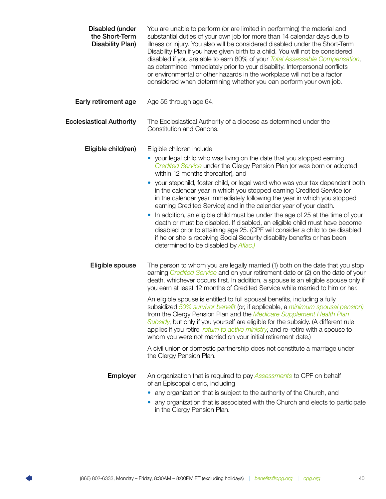<span id="page-41-0"></span>

| <b>Disabled (under</b><br>the Short-Term<br><b>Disability Plan)</b> | You are unable to perform (or are limited in performing) the material and<br>substantial duties of your own job for more than 14 calendar days due to<br>illness or injury. You also will be considered disabled under the Short-Term<br>Disability Plan if you have given birth to a child. You will not be considered<br>disabled if you are able to earn 80% of your Total Assessable Compensation,<br>as determined immediately prior to your disability. Interpersonal conflicts<br>or environmental or other hazards in the workplace will not be a factor<br>considered when determining whether you can perform your own job. |
|---------------------------------------------------------------------|---------------------------------------------------------------------------------------------------------------------------------------------------------------------------------------------------------------------------------------------------------------------------------------------------------------------------------------------------------------------------------------------------------------------------------------------------------------------------------------------------------------------------------------------------------------------------------------------------------------------------------------|
| Early retirement age                                                | Age 55 through age 64.                                                                                                                                                                                                                                                                                                                                                                                                                                                                                                                                                                                                                |
| <b>Ecclesiastical Authority</b>                                     | The Ecclesiastical Authority of a diocese as determined under the<br>Constitution and Canons.                                                                                                                                                                                                                                                                                                                                                                                                                                                                                                                                         |
| Eligible child(ren)                                                 | Eligible children include                                                                                                                                                                                                                                                                                                                                                                                                                                                                                                                                                                                                             |
|                                                                     | • your legal child who was living on the date that you stopped earning<br>Credited Service under the Clergy Pension Plan (or was born or adopted<br>within 12 months thereafter), and                                                                                                                                                                                                                                                                                                                                                                                                                                                 |
|                                                                     | your stepchild, foster child, or legal ward who was your tax dependent both<br>in the calendar year in which you stopped earning Credited Service (or<br>in the calendar year immediately following the year in which you stopped<br>earning Credited Service) and in the calendar year of your death.                                                                                                                                                                                                                                                                                                                                |
|                                                                     | In addition, an eligible child must be under the age of 25 at the time of your<br>death or must be disabled. If disabled, an eligible child must have become<br>disabled prior to attaining age 25. (CPF will consider a child to be disabled<br>if he or she is receiving Social Security disability benefits or has been<br>determined to be disabled by Aflac.)                                                                                                                                                                                                                                                                    |
| Eligible spouse                                                     | The person to whom you are legally married (1) both on the date that you stop<br>earning Credited Service and on your retirement date or (2) on the date of your<br>death, whichever occurs first. In addition, a spouse is an eligible spouse only if<br>you earn at least 12 months of Credited Service while married to him or her.                                                                                                                                                                                                                                                                                                |
|                                                                     | An eligible spouse is entitled to full spousal benefits, including a fully<br>subsidized 50% survivor benefit (or, if applicable, a minimum spousal pension)<br>from the Clergy Pension Plan and the Medicare Supplement Health Plan<br>Subsidy, but only if you yourself are eligible for the subsidy. (A different rule<br>applies if you retire, return to active ministry, and re-retire with a spouse to<br>whom you were not married on your initial retirement date.)                                                                                                                                                          |
|                                                                     | A civil union or domestic partnership does not constitute a marriage under<br>the Clergy Pension Plan.                                                                                                                                                                                                                                                                                                                                                                                                                                                                                                                                |
| Employer                                                            | An organization that is required to pay <b>Assessments</b> to CPF on behalf<br>of an Episcopal cleric, including<br>any organization that is subject to the authority of the Church, and<br>any organization that is associated with the Church and elects to participate<br>in the Clergy Pension Plan.                                                                                                                                                                                                                                                                                                                              |

П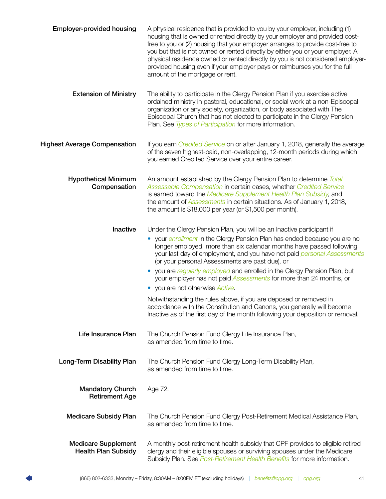<span id="page-42-0"></span>

| <b>Employer-provided housing</b>                         | A physical residence that is provided to you by your employer, including (1)<br>housing that is owned or rented directly by your employer and provided cost-<br>free to you or (2) housing that your employer arranges to provide cost-free to<br>you but that is not owned or rented directly by either you or your employer. A<br>physical residence owned or rented directly by you is not considered employer-<br>provided housing even if your employer pays or reimburses you for the full<br>amount of the mortgage or rent.                                                                                                                                                                                                                                                                                 |
|----------------------------------------------------------|---------------------------------------------------------------------------------------------------------------------------------------------------------------------------------------------------------------------------------------------------------------------------------------------------------------------------------------------------------------------------------------------------------------------------------------------------------------------------------------------------------------------------------------------------------------------------------------------------------------------------------------------------------------------------------------------------------------------------------------------------------------------------------------------------------------------|
| <b>Extension of Ministry</b>                             | The ability to participate in the Clergy Pension Plan if you exercise active<br>ordained ministry in pastoral, educational, or social work at a non-Episcopal<br>organization or any society, organization, or body associated with The<br>Episcopal Church that has not elected to participate in the Clergy Pension<br>Plan. See Types of Participation for more information.                                                                                                                                                                                                                                                                                                                                                                                                                                     |
| <b>Highest Average Compensation</b>                      | If you earn <i>Credited Service</i> on or after January 1, 2018, generally the average<br>of the seven highest-paid, non-overlapping, 12-month periods during which<br>you earned Credited Service over your entire career.                                                                                                                                                                                                                                                                                                                                                                                                                                                                                                                                                                                         |
| <b>Hypothetical Minimum</b><br>Compensation              | An amount established by the Clergy Pension Plan to determine Total<br>Assessable Compensation in certain cases, whether Credited Service<br>is earned toward the Medicare Supplement Health Plan Subsidy, and<br>the amount of Assessments in certain situations. As of January 1, 2018,<br>the amount is $$18,000$ per year (or $$1,500$ per month).                                                                                                                                                                                                                                                                                                                                                                                                                                                              |
| Inactive                                                 | Under the Clergy Pension Plan, you will be an Inactive participant if<br>your enrollment in the Clergy Pension Plan has ended because you are no<br>longer employed, more than six calendar months have passed following<br>your last day of employment, and you have not paid personal Assessments<br>(or your personal Assessments are past due), or<br>you are regularly employed and enrolled in the Clergy Pension Plan, but<br>$\bullet$<br>your employer has not paid <b>Assessments</b> for more than 24 months, or<br>you are not otherwise <i>Active</i> .<br>$\bullet$<br>Notwithstanding the rules above, if you are deposed or removed in<br>accordance with the Constitution and Canons, you generally will become<br>Inactive as of the first day of the month following your deposition or removal. |
| Life Insurance Plan                                      | The Church Pension Fund Clergy Life Insurance Plan,<br>as amended from time to time.                                                                                                                                                                                                                                                                                                                                                                                                                                                                                                                                                                                                                                                                                                                                |
| Long-Term Disability Plan                                | The Church Pension Fund Clergy Long-Term Disability Plan,<br>as amended from time to time.                                                                                                                                                                                                                                                                                                                                                                                                                                                                                                                                                                                                                                                                                                                          |
| <b>Mandatory Church</b><br><b>Retirement Age</b>         | Age 72.                                                                                                                                                                                                                                                                                                                                                                                                                                                                                                                                                                                                                                                                                                                                                                                                             |
| <b>Medicare Subsidy Plan</b>                             | The Church Pension Fund Clergy Post-Retirement Medical Assistance Plan,<br>as amended from time to time.                                                                                                                                                                                                                                                                                                                                                                                                                                                                                                                                                                                                                                                                                                            |
| <b>Medicare Supplement</b><br><b>Health Plan Subsidy</b> | A monthly post-retirement health subsidy that CPF provides to eligible retired<br>clergy and their eligible spouses or surviving spouses under the Medicare<br>Subsidy Plan. See Post-Retirement Health Benefits for more information.                                                                                                                                                                                                                                                                                                                                                                                                                                                                                                                                                                              |

П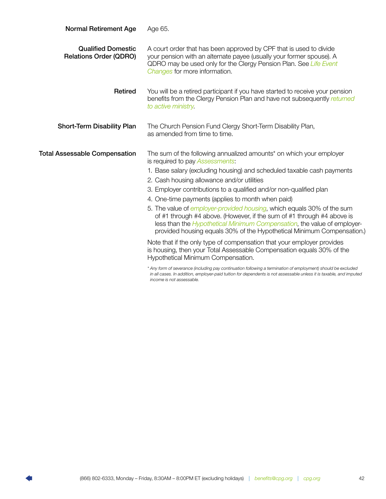<span id="page-43-0"></span>

| <b>Normal Retirement Age</b>                               | Age 65.                                                                                                                                                                                                                                                                                                                                                                                                                                                                                                                                                                                                                                                                                                                                                                                                                                                                     |
|------------------------------------------------------------|-----------------------------------------------------------------------------------------------------------------------------------------------------------------------------------------------------------------------------------------------------------------------------------------------------------------------------------------------------------------------------------------------------------------------------------------------------------------------------------------------------------------------------------------------------------------------------------------------------------------------------------------------------------------------------------------------------------------------------------------------------------------------------------------------------------------------------------------------------------------------------|
| <b>Qualified Domestic</b><br><b>Relations Order (QDRO)</b> | A court order that has been approved by CPF that is used to divide<br>your pension with an alternate payee (usually your former spouse). A<br>QDRO may be used only for the Clergy Pension Plan. See Life Event<br>Changes for more information.                                                                                                                                                                                                                                                                                                                                                                                                                                                                                                                                                                                                                            |
| Retired                                                    | You will be a retired participant if you have started to receive your pension<br>benefits from the Clergy Pension Plan and have not subsequently returned<br>to active ministry                                                                                                                                                                                                                                                                                                                                                                                                                                                                                                                                                                                                                                                                                             |
| <b>Short-Term Disability Plan</b>                          | The Church Pension Fund Clergy Short-Term Disability Plan,<br>as amended from time to time.                                                                                                                                                                                                                                                                                                                                                                                                                                                                                                                                                                                                                                                                                                                                                                                 |
| <b>Total Assessable Compensation</b>                       | The sum of the following annualized amounts* on which your employer<br>is required to pay Assessments:<br>1. Base salary (excluding housing) and scheduled taxable cash payments<br>2. Cash housing allowance and/or utilities<br>3. Employer contributions to a qualified and/or non-qualified plan<br>4. One-time payments (applies to month when paid)<br>5. The value of <i>employer-provided housing</i> , which equals 30% of the sum<br>of #1 through #4 above. (However, if the sum of #1 through #4 above is<br>less than the <i>Hypothetical Minimum Compensation</i> , the value of employer-<br>provided housing equals 30% of the Hypothetical Minimum Compensation.)<br>Note that if the only type of compensation that your employer provides<br>is housing, then your Total Assessable Compensation equals 30% of the<br>Hypothetical Minimum Compensation. |
|                                                            | * Any form of severance (including pay continuation following a termination of employment) should be excluded<br>in all cases. In addition, employer-paid tuition for dependents is not assessable unless it is taxable, and imputed                                                                                                                                                                                                                                                                                                                                                                                                                                                                                                                                                                                                                                        |

*income is not assessable.*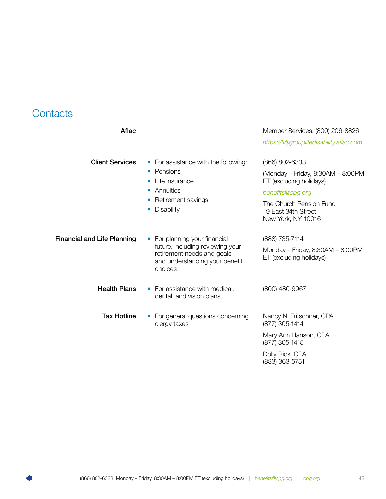### <span id="page-44-0"></span>**Contacts**

| Aflac                              |                                                                                                                                                                         | Member Services: (800) 206-8826<br>https://Mygrouplifedisability.aflac.com                                                                                                 |
|------------------------------------|-------------------------------------------------------------------------------------------------------------------------------------------------------------------------|----------------------------------------------------------------------------------------------------------------------------------------------------------------------------|
| <b>Client Services</b>             | • For assistance with the following:<br>Pensions<br>$\bullet$<br>Life insurance<br>$\bullet$<br>Annuities<br>$\bullet$<br>Retirement savings<br>Disability<br>$\bullet$ | (866) 802-6333<br>(Monday – Friday, 8:30AM – 8:00PM<br>ET (excluding holidays)<br>benefits@cpg.org<br>The Church Pension Fund<br>19 East 34th Street<br>New York, NY 10016 |
| <b>Financial and Life Planning</b> | For planning your financial<br>future, including reviewing your<br>retirement needs and goals<br>and understanding your benefit<br>choices                              | (888) 735-7114<br>Monday - Friday, $8:30AM - 8:00PM$<br>ET (excluding holidays)                                                                                            |
| <b>Health Plans</b>                | • For assistance with medical,<br>dental, and vision plans                                                                                                              | (800) 480-9967                                                                                                                                                             |
| <b>Tax Hotline</b>                 | For general questions concerning<br>clergy taxes                                                                                                                        | Nancy N. Fritschner, CPA<br>(877) 305-1414                                                                                                                                 |
|                                    |                                                                                                                                                                         | Mary Ann Hanson, CPA<br>(877) 305-1415                                                                                                                                     |
|                                    |                                                                                                                                                                         | Dolly Rios, CPA<br>(833) 363-5751                                                                                                                                          |